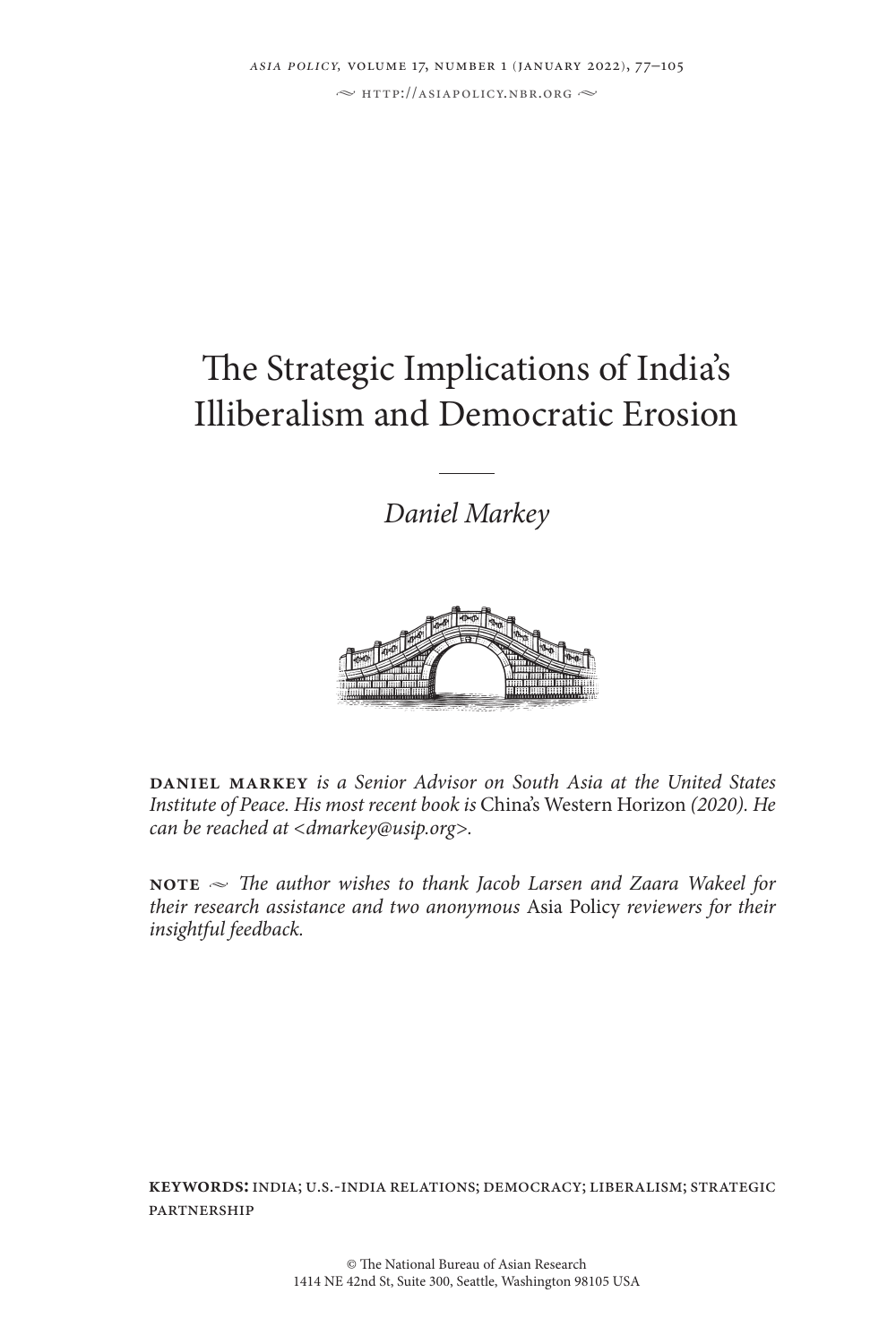# The Strategic Implications of India's Illiberalism and Democratic Erosion

*Daniel Markey*



**daniel markey** *is a Senior Advisor on South Asia at the United States Institute of Peace. His most recent book is* China's Western Horizon *(2020). He can be reached at <dmarkey@usip.org>.*

**NOTE**  $\sim$  *The author wishes to thank Jacob Larsen and Zaara Wakeel for their research assistance and two anonymous* Asia Policy *reviewers for their insightful feedback.*

**keywords:**india; u.s.-india relations; democracy; liberalism; strategic partnership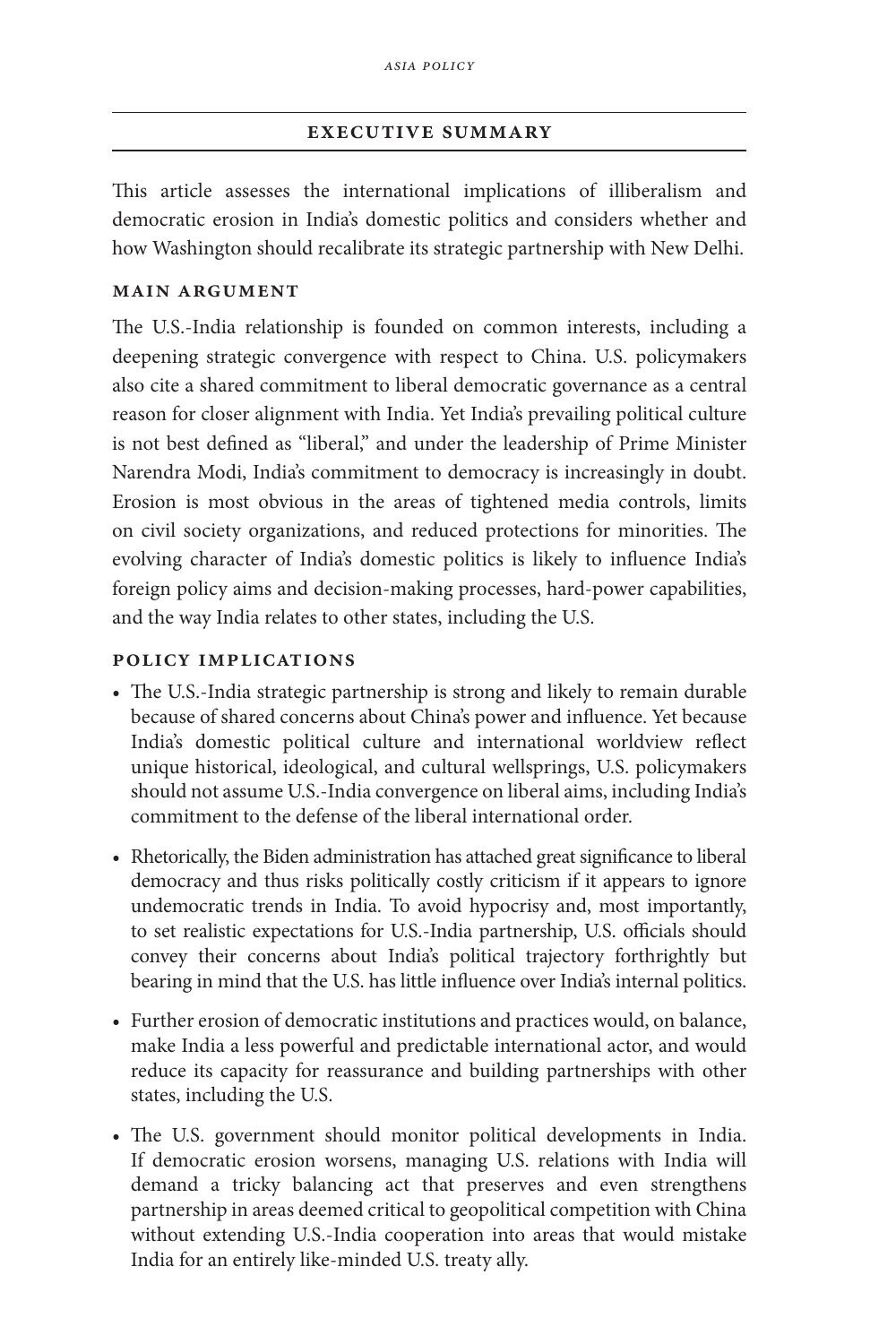# **executive summary**

This article assesses the international implications of illiberalism and democratic erosion in India's domestic politics and considers whether and how Washington should recalibrate its strategic partnership with New Delhi.

# **main argument**

The U.S.-India relationship is founded on common interests, including a deepening strategic convergence with respect to China. U.S. policymakers also cite a shared commitment to liberal democratic governance as a central reason for closer alignment with India. Yet India's prevailing political culture is not best defined as "liberal," and under the leadership of Prime Minister Narendra Modi, India's commitment to democracy is increasingly in doubt. Erosion is most obvious in the areas of tightened media controls, limits on civil society organizations, and reduced protections for minorities. The evolving character of India's domestic politics is likely to influence India's foreign policy aims and decision-making processes, hard-power capabilities, and the way India relates to other states, including the U.S.

# **policy implications**

- The U.S.-India strategic partnership is strong and likely to remain durable because of shared concerns about China's power and influence. Yet because India's domestic political culture and international worldview reflect unique historical, ideological, and cultural wellsprings, U.S. policymakers should not assume U.S.-India convergence on liberal aims, including India's commitment to the defense of the liberal international order.
- Rhetorically, the Biden administration has attached great significance to liberal democracy and thus risks politically costly criticism if it appears to ignore undemocratic trends in India. To avoid hypocrisy and, most importantly, to set realistic expectations for U.S.-India partnership, U.S. officials should convey their concerns about India's political trajectory forthrightly but bearing in mind that the U.S. has little influence over India's internal politics.
- Further erosion of democratic institutions and practices would, on balance, make India a less powerful and predictable international actor, and would reduce its capacity for reassurance and building partnerships with other states, including the U.S.
- The U.S. government should monitor political developments in India. If democratic erosion worsens, managing U.S. relations with India will demand a tricky balancing act that preserves and even strengthens partnership in areas deemed critical to geopolitical competition with China without extending U.S.-India cooperation into areas that would mistake India for an entirely like-minded U.S. treaty ally.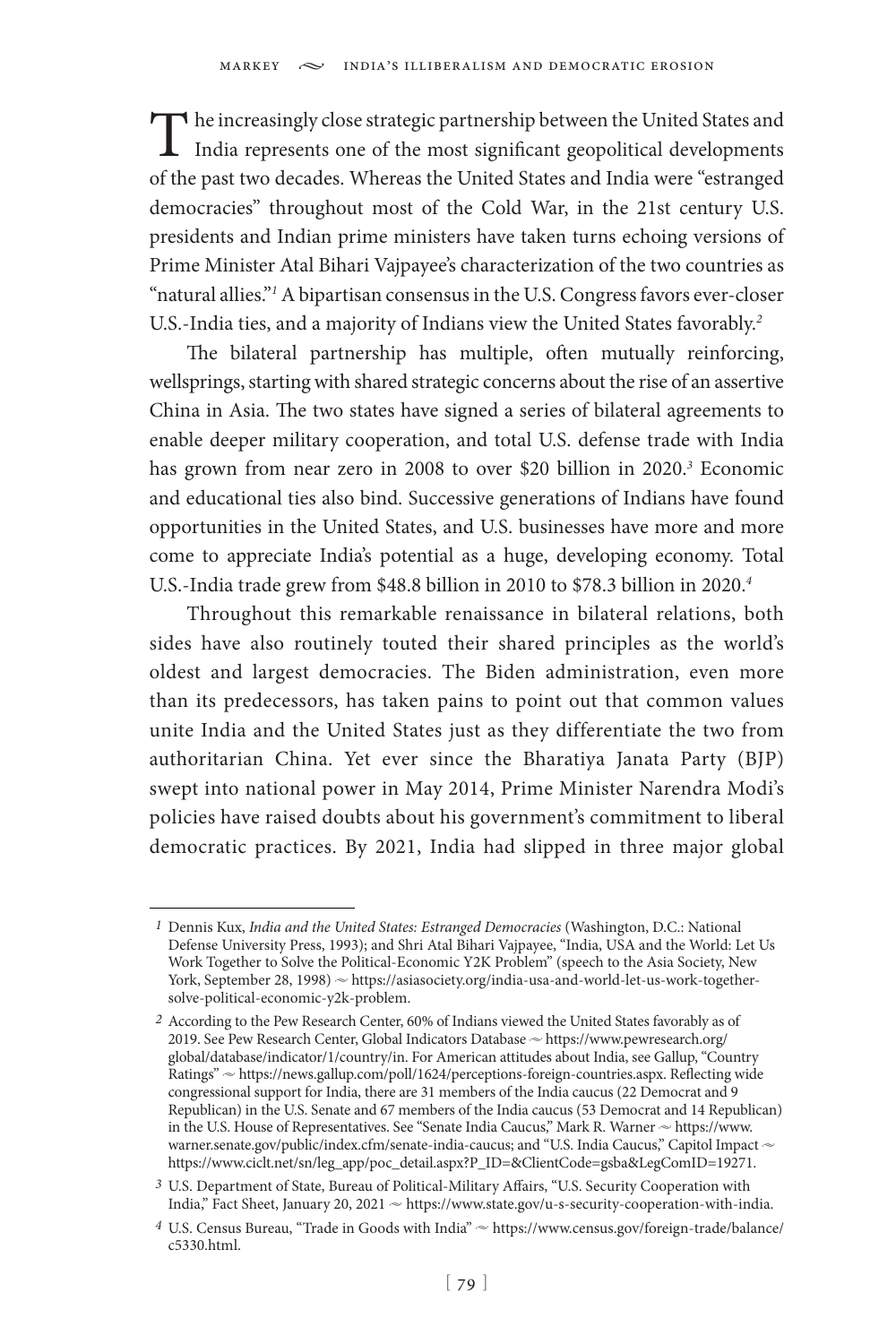The increasingly close strategic partnership between the United States and India represents one of the most significant geopolitical developments of the past two decades. Whereas the United States and India were "estranged democracies" throughout most of the Cold War, in the 21st century U.S. presidents and Indian prime ministers have taken turns echoing versions of Prime Minister Atal Bihari Vajpayee's characterization of the two countries as "natural allies."*<sup>1</sup>* A bipartisan consensus in the U.S. Congress favors ever-closer U.S.-India ties, and a majority of Indians view the United States favorably.*<sup>2</sup>*

The bilateral partnership has multiple, often mutually reinforcing, wellsprings, starting with shared strategic concerns about the rise of an assertive China in Asia. The two states have signed a series of bilateral agreements to enable deeper military cooperation, and total U.S. defense trade with India has grown from near zero in 2008 to over \$20 billion in 2020.*<sup>3</sup>* Economic and educational ties also bind. Successive generations of Indians have found opportunities in the United States, and U.S. businesses have more and more come to appreciate India's potential as a huge, developing economy. Total U.S.-India trade grew from \$48.8 billion in 2010 to \$78.3 billion in 2020.*<sup>4</sup>*

Throughout this remarkable renaissance in bilateral relations, both sides have also routinely touted their shared principles as the world's oldest and largest democracies. The Biden administration, even more than its predecessors, has taken pains to point out that common values unite India and the United States just as they differentiate the two from authoritarian China. Yet ever since the Bharatiya Janata Party (BJP) swept into national power in May 2014, Prime Minister Narendra Modi's policies have raised doubts about his government's commitment to liberal democratic practices. By 2021, India had slipped in three major global

*<sup>1</sup>* Dennis Kux, *India and the United States: Estranged Democracies* (Washington, D.C.: National Defense University Press, 1993); and Shri Atal Bihari Vajpayee, "India, USA and the World: Let Us Work Together to Solve the Political-Economic Y2K Problem" (speech to the Asia Society, New York, September 28, 1998)  $\sim$  https://asiasociety.org/india-usa-and-world-let-us-work-togethersolve-political-economic-y2k-problem.

*<sup>2</sup>* According to the Pew Research Center, 60% of Indians viewed the United States favorably as of 2019. See Pew Research Center, Global Indicators Database  $\sim$  https://www.pewresearch.org/ global/database/indicator/1/country/in. For American attitudes about India, see Gallup, "Country Ratings"  $\sim$  https://news.gallup.com/poll/1624/perceptions-foreign-countries.aspx. Reflecting wide congressional support for India, there are 31 members of the India caucus (22 Democrat and 9 Republican) in the U.S. Senate and 67 members of the India caucus (53 Democrat and 14 Republican) in the U.S. House of Representatives. See "Senate India Caucus," Mark R. Warner  $\sim$  https://www. warner.senate.gov/public/index.cfm/senate-india-caucus; and "U.S. India Caucus," Capitol Impact  $\sim$ https://www.ciclt.net/sn/leg\_app/poc\_detail.aspx?P\_ID=&ClientCode=gsba&LegComID=19271.

*<sup>3</sup>* U.S. Department of State, Bureau of Political-Military Affairs, "U.S. Security Cooperation with India," Fact Sheet, January 20, 2021  $\sim$  https://www.state.gov/u-s-security-cooperation-with-india.

*<sup>4</sup>* U.S. Census Bureau, "Trade in Goods with India" u https://www.census.gov/foreign-trade/balance/ c5330.html.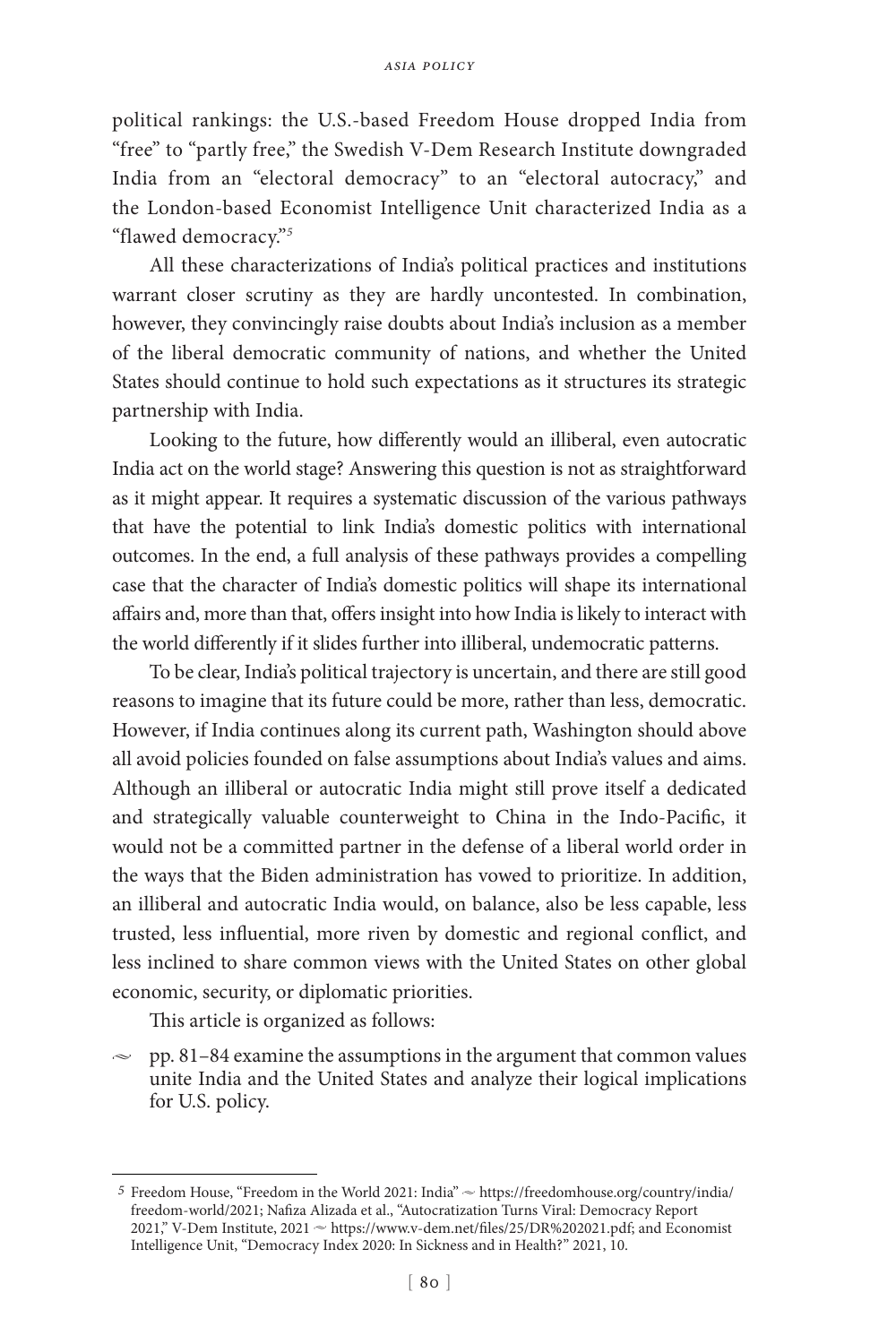political rankings: the U.S.-based Freedom House dropped India from "free" to "partly free," the Swedish V-Dem Research Institute downgraded India from an "electoral democracy" to an "electoral autocracy," and the London-based Economist Intelligence Unit characterized India as a "flawed democracy."*<sup>5</sup>*

All these characterizations of India's political practices and institutions warrant closer scrutiny as they are hardly uncontested. In combination, however, they convincingly raise doubts about India's inclusion as a member of the liberal democratic community of nations, and whether the United States should continue to hold such expectations as it structures its strategic partnership with India.

Looking to the future, how differently would an illiberal, even autocratic India act on the world stage? Answering this question is not as straightforward as it might appear. It requires a systematic discussion of the various pathways that have the potential to link India's domestic politics with international outcomes. In the end, a full analysis of these pathways provides a compelling case that the character of India's domestic politics will shape its international affairs and, more than that, offers insight into how India is likely to interact with the world differently if it slides further into illiberal, undemocratic patterns.

To be clear, India's political trajectory is uncertain, and there are still good reasons to imagine that its future could be more, rather than less, democratic. However, if India continues along its current path, Washington should above all avoid policies founded on false assumptions about India's values and aims. Although an illiberal or autocratic India might still prove itself a dedicated and strategically valuable counterweight to China in the Indo-Pacific, it would not be a committed partner in the defense of a liberal world order in the ways that the Biden administration has vowed to prioritize. In addition, an illiberal and autocratic India would, on balance, also be less capable, less trusted, less influential, more riven by domestic and regional conflict, and less inclined to share common views with the United States on other global economic, security, or diplomatic priorities.

This article is organized as follows:

 $\approx$  pp. 81–84 examine the assumptions in the argument that common values unite India and the United States and analyze their logical implications for U.S. policy.

<sup>&</sup>lt;sup>5</sup> Freedom House, "Freedom in the World 2021: India" ~ https://freedomhouse.org/country/india/ freedom-world/2021; Nafiza Alizada et al., "Autocratization Turns Viral: Democracy Report 2021," V-Dem Institute, 2021  $\sim$  https://www.v-dem.net/files/25/DR%202021.pdf; and Economist Intelligence Unit, "Democracy Index 2020: In Sickness and in Health?" 2021, 10.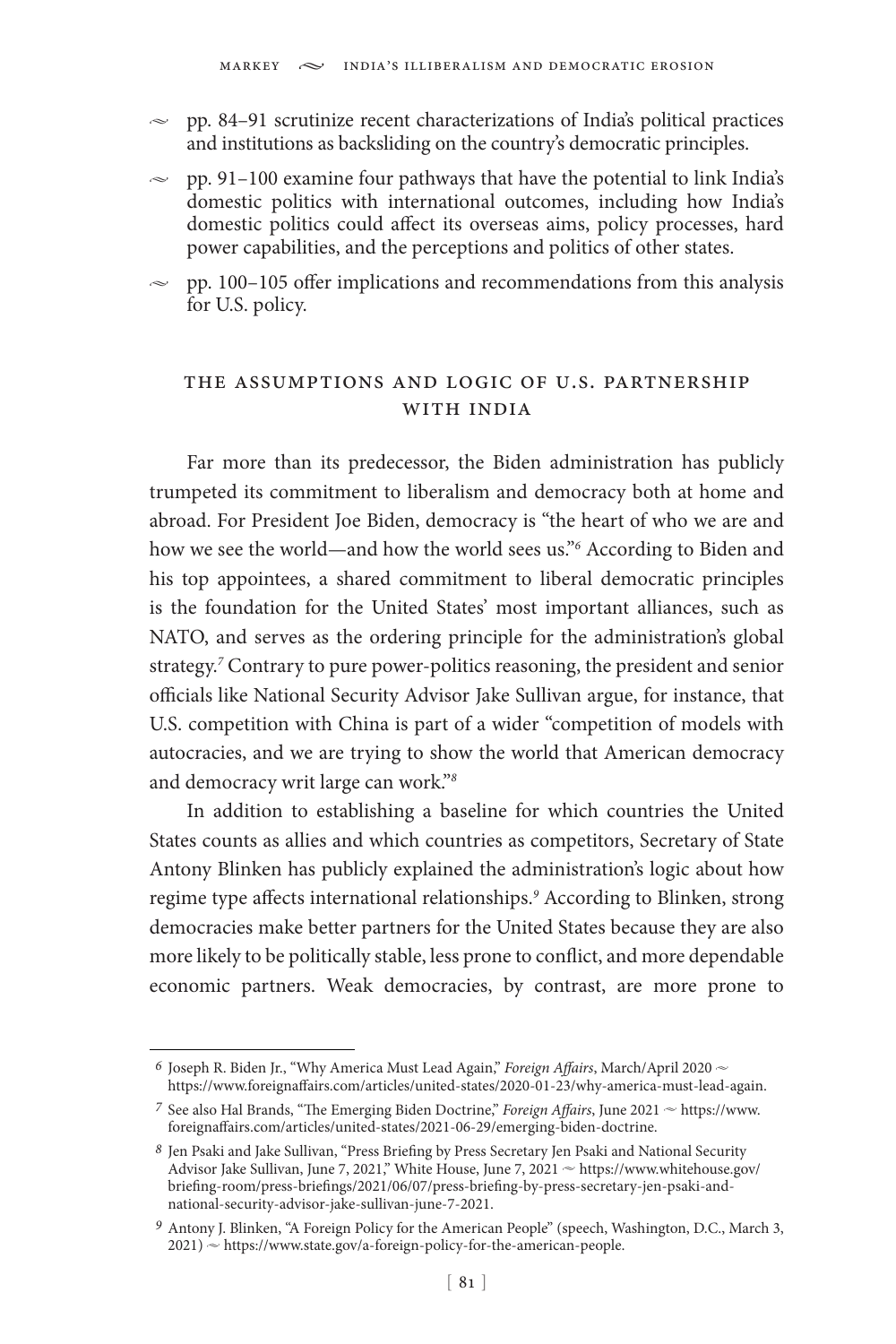- $\sim$  pp. 84–91 scrutinize recent characterizations of India's political practices and institutions as backsliding on the country's democratic principles.
- $\approx$  pp. 91–100 examine four pathways that have the potential to link India's domestic politics with international outcomes, including how India's domestic politics could affect its overseas aims, policy processes, hard power capabilities, and the perceptions and politics of other states.
- $\approx$  pp. 100–105 offer implications and recommendations from this analysis for U.S. policy.

# the assumptions and logic of u.s. partnership with india

Far more than its predecessor, the Biden administration has publicly trumpeted its commitment to liberalism and democracy both at home and abroad. For President Joe Biden, democracy is "the heart of who we are and how we see the world—and how the world sees us."*<sup>6</sup>* According to Biden and his top appointees, a shared commitment to liberal democratic principles is the foundation for the United States' most important alliances, such as NATO, and serves as the ordering principle for the administration's global strategy.*<sup>7</sup>* Contrary to pure power-politics reasoning, the president and senior officials like National Security Advisor Jake Sullivan argue, for instance, that U.S. competition with China is part of a wider "competition of models with autocracies, and we are trying to show the world that American democracy and democracy writ large can work."*<sup>8</sup>*

In addition to establishing a baseline for which countries the United States counts as allies and which countries as competitors, Secretary of State Antony Blinken has publicly explained the administration's logic about how regime type affects international relationships.*<sup>9</sup>* According to Blinken, strong democracies make better partners for the United States because they are also more likely to be politically stable, less prone to conflict, and more dependable economic partners. Weak democracies, by contrast, are more prone to

 $^6$  Joseph R. Biden Jr., "Why America Must Lead Again," *Foreign Affairs*, March/April 2020  $\sim$ https://www.foreignaffairs.com/articles/united-states/2020-01-23/why-america-must-lead-again.

<sup>&</sup>lt;sup>7</sup> See also Hal Brands, "The Emerging Biden Doctrine," *Foreign Affairs*, June 2021  $\sim$  https://www. foreignaffairs.com/articles/united-states/2021-06-29/emerging-biden-doctrine.

*<sup>8</sup>* Jen Psaki and Jake Sullivan, "Press Briefing by Press Secretary Jen Psaki and National Security Advisor Jake Sullivan, June 7, 2021," White House, June 7, 2021  $\sim$  https://www.whitehouse.gov/ briefing-room/press-briefings/2021/06/07/press-briefing-by-press-secretary-jen-psaki-andnational-security-advisor-jake-sullivan-june-7-2021.

*<sup>9</sup>* Antony J. Blinken, "A Foreign Policy for the American People" (speech, Washington, D.C., March 3,  $2021$ )  $\sim$  https://www.state.gov/a-foreign-policy-for-the-american-people.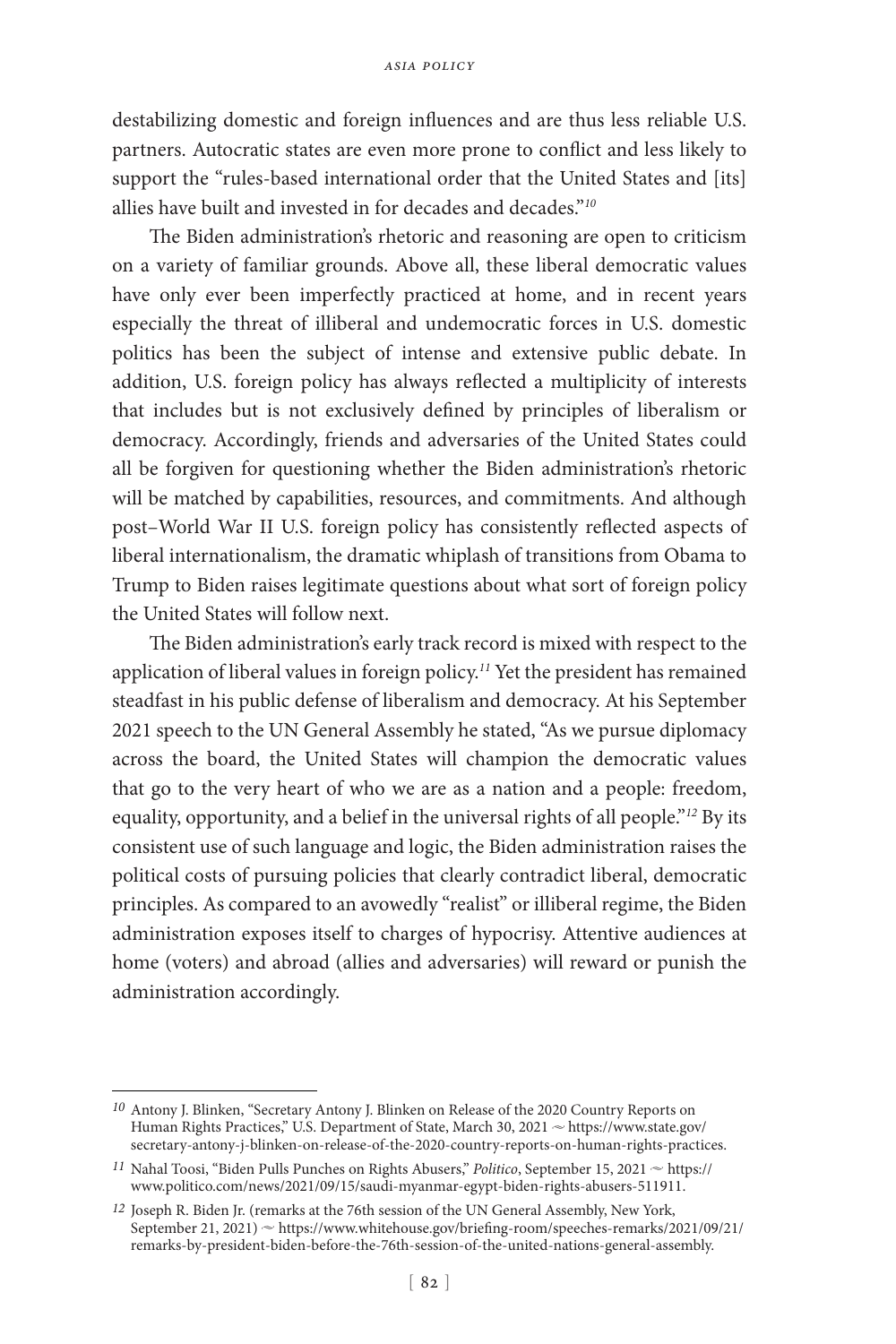destabilizing domestic and foreign influences and are thus less reliable U.S. partners. Autocratic states are even more prone to conflict and less likely to support the "rules-based international order that the United States and [its] allies have built and invested in for decades and decades."*<sup>10</sup>*

The Biden administration's rhetoric and reasoning are open to criticism on a variety of familiar grounds. Above all, these liberal democratic values have only ever been imperfectly practiced at home, and in recent years especially the threat of illiberal and undemocratic forces in U.S. domestic politics has been the subject of intense and extensive public debate. In addition, U.S. foreign policy has always reflected a multiplicity of interests that includes but is not exclusively defined by principles of liberalism or democracy. Accordingly, friends and adversaries of the United States could all be forgiven for questioning whether the Biden administration's rhetoric will be matched by capabilities, resources, and commitments. And although post–World War II U.S. foreign policy has consistently reflected aspects of liberal internationalism, the dramatic whiplash of transitions from Obama to Trump to Biden raises legitimate questions about what sort of foreign policy the United States will follow next.

The Biden administration's early track record is mixed with respect to the application of liberal values in foreign policy.*<sup>11</sup>* Yet the president has remained steadfast in his public defense of liberalism and democracy. At his September 2021 speech to the UN General Assembly he stated, "As we pursue diplomacy across the board, the United States will champion the democratic values that go to the very heart of who we are as a nation and a people: freedom, equality, opportunity, and a belief in the universal rights of all people."*<sup>12</sup>* By its consistent use of such language and logic, the Biden administration raises the political costs of pursuing policies that clearly contradict liberal, democratic principles. As compared to an avowedly "realist" or illiberal regime, the Biden administration exposes itself to charges of hypocrisy. Attentive audiences at home (voters) and abroad (allies and adversaries) will reward or punish the administration accordingly.

*<sup>10</sup>* Antony J. Blinken, "Secretary Antony J. Blinken on Release of the 2020 Country Reports on Human Rights Practices," U.S. Department of State, March 30, 2021 ~ https://www.state.gov/ secretary-antony-j-blinken-on-release-of-the-2020-country-reports-on-human-rights-practices.

 $11$  Nahal Toosi, "Biden Pulls Punches on Rights Abusers," *Politico*, September 15, 2021  $\sim$  https:// www.politico.com/news/2021/09/15/saudi-myanmar-egypt-biden-rights-abusers-511911.

*<sup>12</sup>* Joseph R. Biden Jr. (remarks at the 76th session of the UN General Assembly, New York, September 21, 2021) ~ https://www.whitehouse.gov/briefing-room/speeches-remarks/2021/09/21/ remarks-by-president-biden-before-the-76th-session-of-the-united-nations-general-assembly.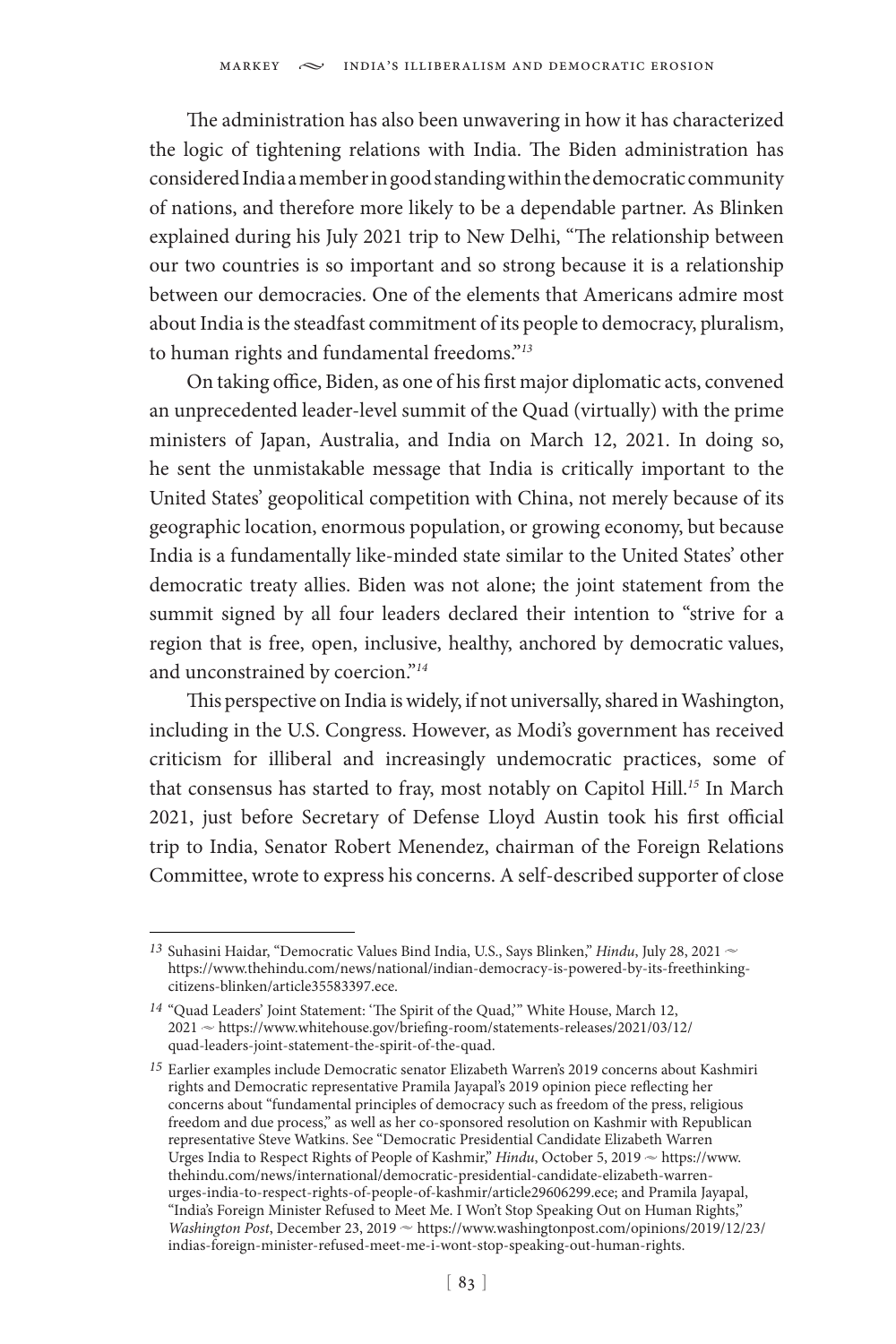The administration has also been unwavering in how it has characterized the logic of tightening relations with India. The Biden administration has considered India a member in good standing within the democratic community of nations, and therefore more likely to be a dependable partner. As Blinken explained during his July 2021 trip to New Delhi, "The relationship between our two countries is so important and so strong because it is a relationship between our democracies. One of the elements that Americans admire most about India is the steadfast commitment of its people to democracy, pluralism, to human rights and fundamental freedoms."*<sup>13</sup>*

On taking office, Biden, as one of his first major diplomatic acts, convened an unprecedented leader-level summit of the Quad (virtually) with the prime ministers of Japan, Australia, and India on March 12, 2021. In doing so, he sent the unmistakable message that India is critically important to the United States' geopolitical competition with China, not merely because of its geographic location, enormous population, or growing economy, but because India is a fundamentally like-minded state similar to the United States' other democratic treaty allies. Biden was not alone; the joint statement from the summit signed by all four leaders declared their intention to "strive for a region that is free, open, inclusive, healthy, anchored by democratic values, and unconstrained by coercion."*<sup>14</sup>*

This perspective on India is widely, if not universally, shared in Washington, including in the U.S. Congress. However, as Modi's government has received criticism for illiberal and increasingly undemocratic practices, some of that consensus has started to fray, most notably on Capitol Hill.*<sup>15</sup>* In March 2021, just before Secretary of Defense Lloyd Austin took his first official trip to India, Senator Robert Menendez, chairman of the Foreign Relations Committee, wrote to express his concerns. A self-described supporter of close

<sup>&</sup>lt;sup>13</sup> Suhasini Haidar, "Democratic Values Bind India, U.S., Says Blinken," *Hindu*, July 28, 2021 ~ https://www.thehindu.com/news/national/indian-democracy-is-powered-by-its-freethinkingcitizens-blinken/article35583397.ece.

*<sup>14</sup>* "Quad Leaders' Joint Statement: 'The Spirit of the Quad,'" White House, March 12, 2021 ~ https://www.whitehouse.gov/briefing-room/statements-releases/2021/03/12/ quad-leaders-joint-statement-the-spirit-of-the-quad.

*<sup>15</sup>* Earlier examples include Democratic senator Elizabeth Warren's 2019 concerns about Kashmiri rights and Democratic representative Pramila Jayapal's 2019 opinion piece reflecting her concerns about "fundamental principles of democracy such as freedom of the press, religious freedom and due process," as well as her co-sponsored resolution on Kashmir with Republican representative Steve Watkins. See "Democratic Presidential Candidate Elizabeth Warren Urges India to Respect Rights of People of Kashmir," *Hindu*, October 5, 2019  $\sim$  https://www. thehindu.com/news/international/democratic-presidential-candidate-elizabeth-warrenurges-india-to-respect-rights-of-people-of-kashmir/article29606299.ece; and Pramila Jayapal, "India's Foreign Minister Refused to Meet Me. I Won't Stop Speaking Out on Human Rights," *Washington Post*, December 23, 2019  $\sim$  https://www.washingtonpost.com/opinions/2019/12/23/ indias-foreign-minister-refused-meet-me-i-wont-stop-speaking-out-human-rights.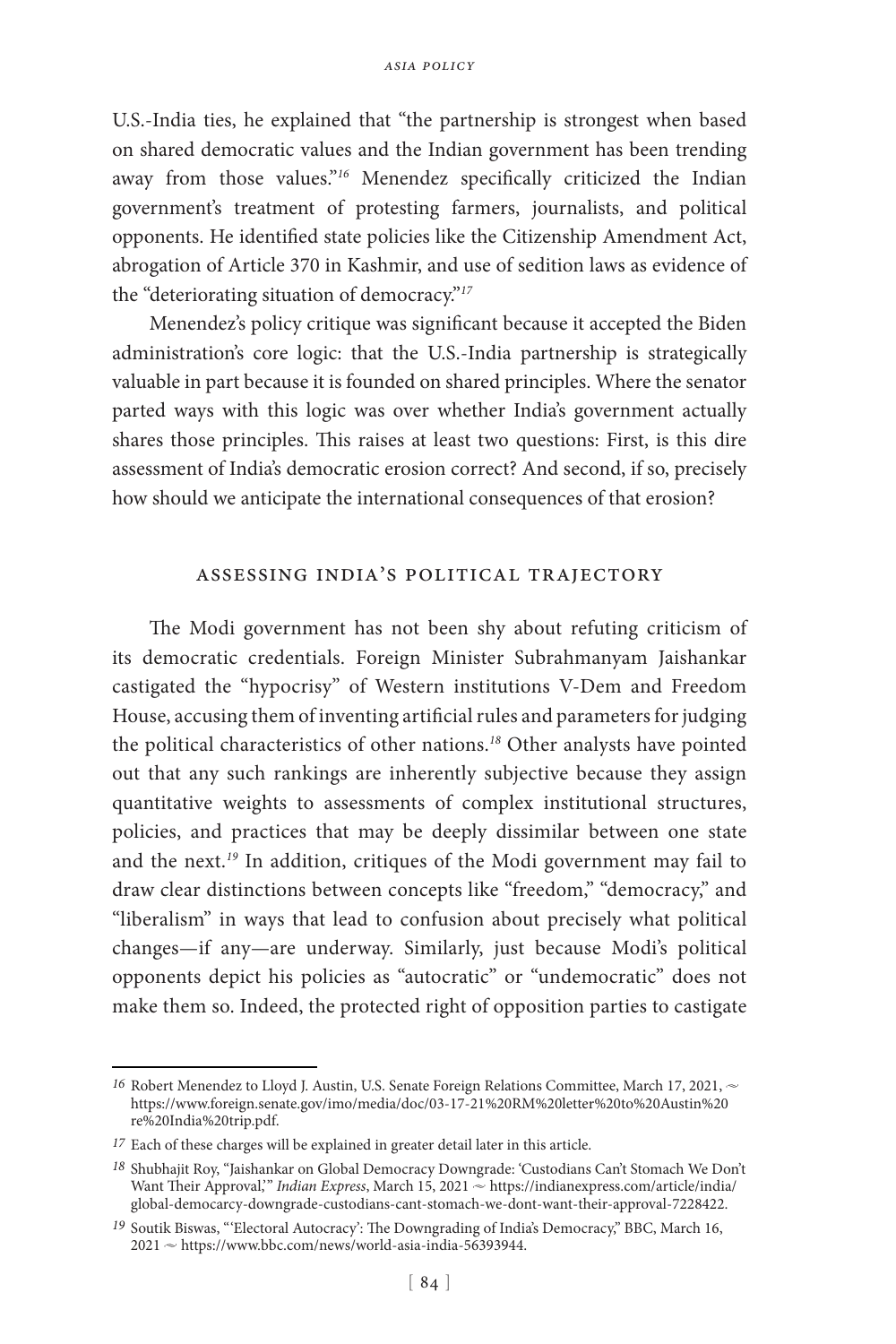U.S.-India ties, he explained that "the partnership is strongest when based on shared democratic values and the Indian government has been trending away from those values."<sup>16</sup> Menendez specifically criticized the Indian government's treatment of protesting farmers, journalists, and political opponents. He identified state policies like the Citizenship Amendment Act, abrogation of Article 370 in Kashmir, and use of sedition laws as evidence of the "deteriorating situation of democracy."*<sup>17</sup>*

Menendez's policy critique was significant because it accepted the Biden administration's core logic: that the U.S.-India partnership is strategically valuable in part because it is founded on shared principles. Where the senator parted ways with this logic was over whether India's government actually shares those principles. This raises at least two questions: First, is this dire assessment of India's democratic erosion correct? And second, if so, precisely how should we anticipate the international consequences of that erosion?

#### assessing india's political trajectory

The Modi government has not been shy about refuting criticism of its democratic credentials. Foreign Minister Subrahmanyam Jaishankar castigated the "hypocrisy" of Western institutions V-Dem and Freedom House, accusing them of inventing artificial rules and parameters for judging the political characteristics of other nations.*<sup>18</sup>* Other analysts have pointed out that any such rankings are inherently subjective because they assign quantitative weights to assessments of complex institutional structures, policies, and practices that may be deeply dissimilar between one state and the next.*<sup>19</sup>* In addition, critiques of the Modi government may fail to draw clear distinctions between concepts like "freedom," "democracy," and "liberalism" in ways that lead to confusion about precisely what political changes—if any—are underway. Similarly, just because Modi's political opponents depict his policies as "autocratic" or "undemocratic" does not make them so. Indeed, the protected right of opposition parties to castigate

<sup>16</sup> Robert Menendez to Lloyd J. Austin, U.S. Senate Foreign Relations Committee, March 17, 2021,  $\sim$ https://www.foreign.senate.gov/imo/media/doc/03-17-21%20RM%20letter%20to%20Austin%20 re%20India%20trip.pdf.

*<sup>17</sup>* Each of these charges will be explained in greater detail later in this article.

*<sup>18</sup>* Shubhajit Roy, "Jaishankar on Global Democracy Downgrade: 'Custodians Can't Stomach We Don't Want Their Approval," *Indian Express*, March 15, 2021  $\sim$  https://indianexpress.com/article/india/ global-democarcy-downgrade-custodians-cant-stomach-we-dont-want-their-approval-7228422.

*<sup>19</sup>* Soutik Biswas, "'Electoral Autocracy': The Downgrading of India's Democracy," BBC, March 16,  $2021 \approx$  https://www.bbc.com/news/world-asia-india-56393944.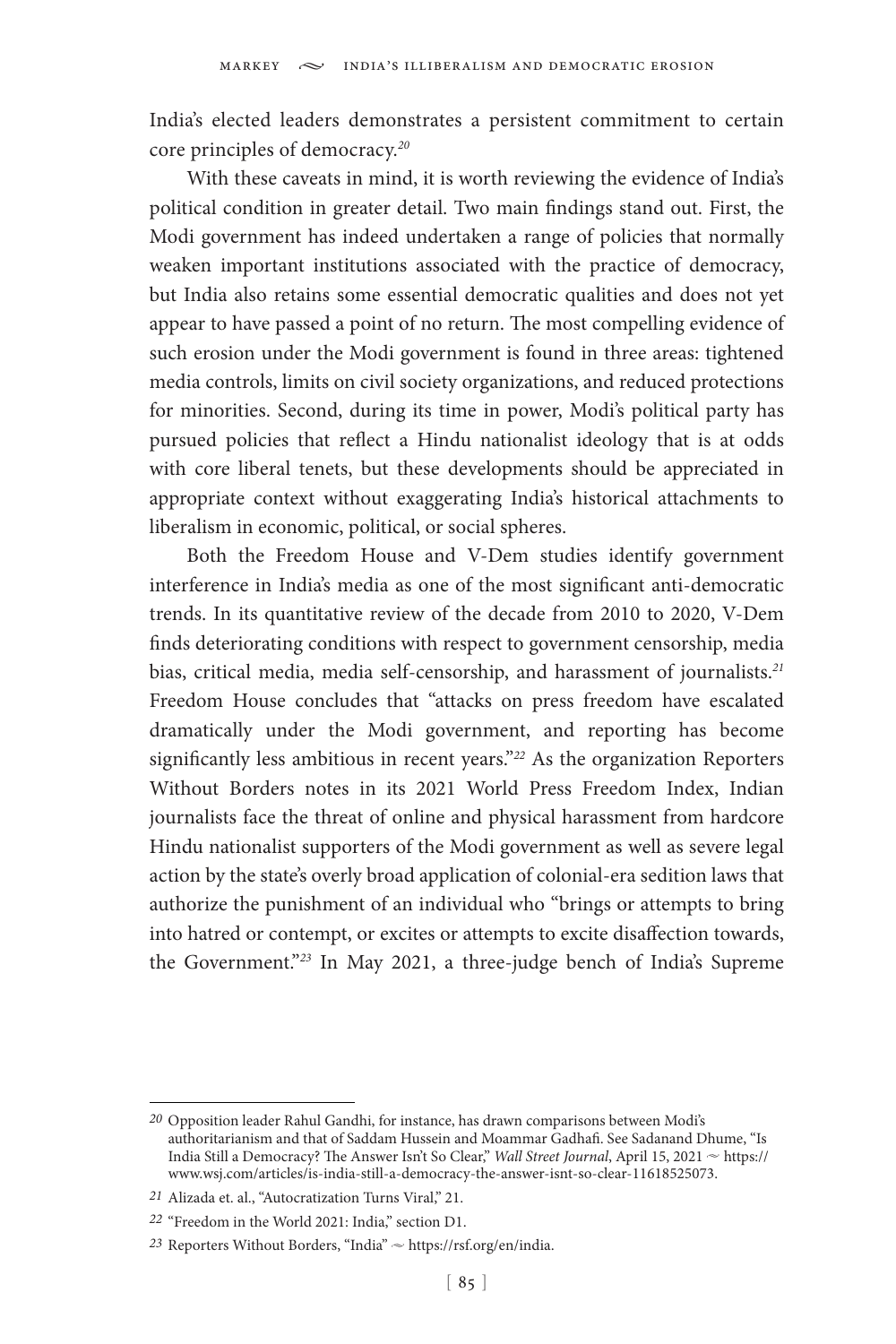India's elected leaders demonstrates a persistent commitment to certain core principles of democracy.*<sup>20</sup>*

With these caveats in mind, it is worth reviewing the evidence of India's political condition in greater detail. Two main findings stand out. First, the Modi government has indeed undertaken a range of policies that normally weaken important institutions associated with the practice of democracy, but India also retains some essential democratic qualities and does not yet appear to have passed a point of no return. The most compelling evidence of such erosion under the Modi government is found in three areas: tightened media controls, limits on civil society organizations, and reduced protections for minorities. Second, during its time in power, Modi's political party has pursued policies that reflect a Hindu nationalist ideology that is at odds with core liberal tenets, but these developments should be appreciated in appropriate context without exaggerating India's historical attachments to liberalism in economic, political, or social spheres.

Both the Freedom House and V-Dem studies identify government interference in India's media as one of the most significant anti-democratic trends. In its quantitative review of the decade from 2010 to 2020, V-Dem finds deteriorating conditions with respect to government censorship, media bias, critical media, media self-censorship, and harassment of journalists.*<sup>21</sup>* Freedom House concludes that "attacks on press freedom have escalated dramatically under the Modi government, and reporting has become significantly less ambitious in recent years."*<sup>22</sup>* As the organization Reporters Without Borders notes in its 2021 World Press Freedom Index, Indian journalists face the threat of online and physical harassment from hardcore Hindu nationalist supporters of the Modi government as well as severe legal action by the state's overly broad application of colonial-era sedition laws that authorize the punishment of an individual who "brings or attempts to bring into hatred or contempt, or excites or attempts to excite disaffection towards, the Government."*<sup>23</sup>* In May 2021, a three-judge bench of India's Supreme

*<sup>20</sup>* Opposition leader Rahul Gandhi, for instance, has drawn comparisons between Modi's authoritarianism and that of Saddam Hussein and Moammar Gadhafi. See Sadanand Dhume, "Is India Still a Democracy? The Answer Isn't So Clear," *Wall Street Journal*, April 15, 2021  $\sim$  https:// www.wsj.com/articles/is-india-still-a-democracy-the-answer-isnt-so-clear-11618525073.

*<sup>21</sup>* Alizada et. al., "Autocratization Turns Viral," 21.

*<sup>22</sup>* "Freedom in the World 2021: India," section D1.

<sup>23</sup> Reporters Without Borders, "India"  $\sim$  https://rsf.org/en/india.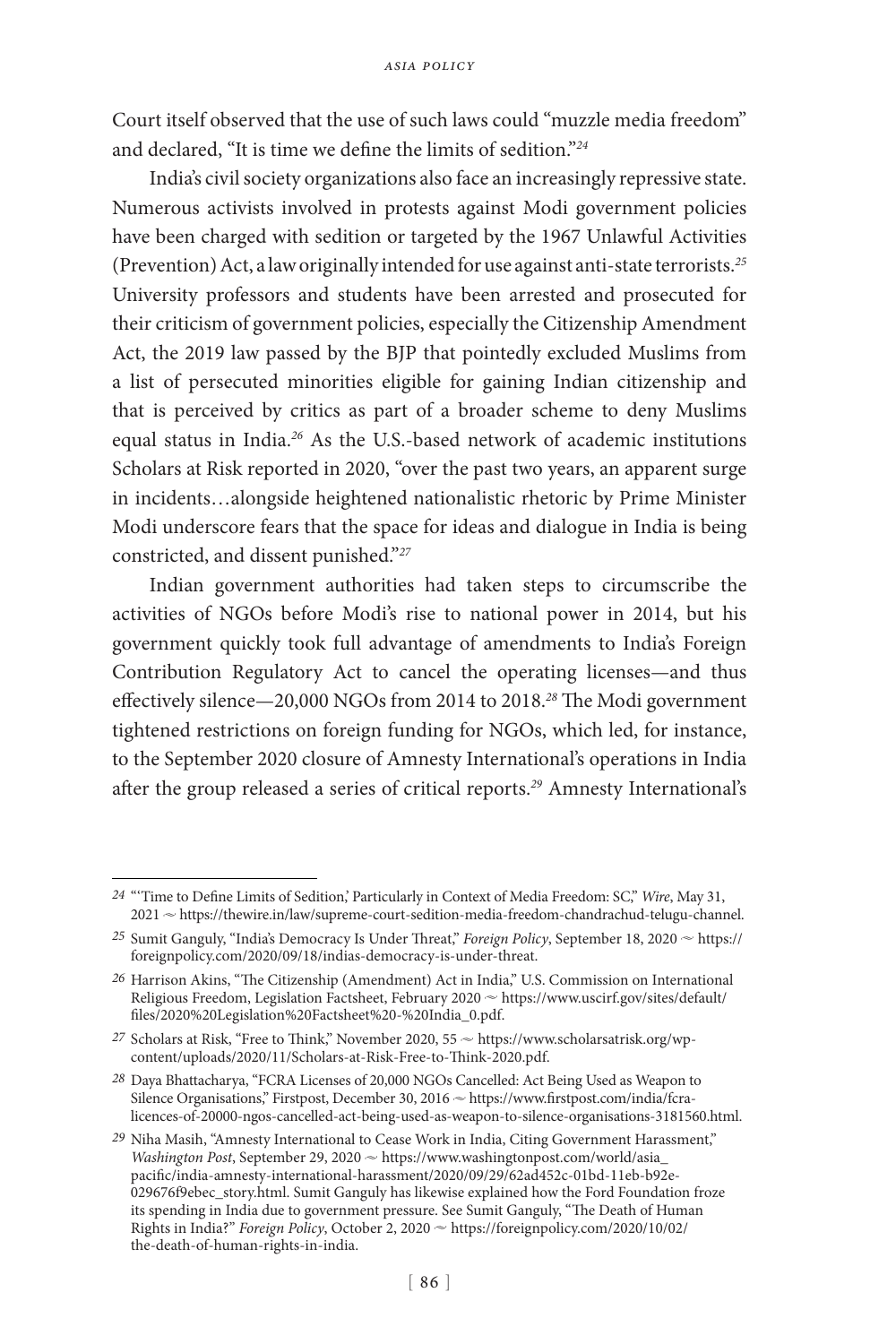Court itself observed that the use of such laws could "muzzle media freedom" and declared, "It is time we define the limits of sedition."*<sup>24</sup>*

India's civil society organizations also face an increasingly repressive state. Numerous activists involved in protests against Modi government policies have been charged with sedition or targeted by the 1967 Unlawful Activities (Prevention) Act, a law originally intended for use against anti-state terrorists.*<sup>25</sup>* University professors and students have been arrested and prosecuted for their criticism of government policies, especially the Citizenship Amendment Act, the 2019 law passed by the BJP that pointedly excluded Muslims from a list of persecuted minorities eligible for gaining Indian citizenship and that is perceived by critics as part of a broader scheme to deny Muslims equal status in India.*<sup>26</sup>* As the U.S.-based network of academic institutions Scholars at Risk reported in 2020, "over the past two years, an apparent surge in incidents…alongside heightened nationalistic rhetoric by Prime Minister Modi underscore fears that the space for ideas and dialogue in India is being constricted, and dissent punished."*<sup>27</sup>*

Indian government authorities had taken steps to circumscribe the activities of NGOs before Modi's rise to national power in 2014, but his government quickly took full advantage of amendments to India's Foreign Contribution Regulatory Act to cancel the operating licenses—and thus effectively silence—20,000 NGOs from 2014 to 2018.*<sup>28</sup>* The Modi government tightened restrictions on foreign funding for NGOs, which led, for instance, to the September 2020 closure of Amnesty International's operations in India after the group released a series of critical reports.*<sup>29</sup>* Amnesty International's

*<sup>24</sup>* "'Time to Define Limits of Sedition,' Particularly in Context of Media Freedom: SC," *Wire*, May 31,  $2021 \approx$  https://thewire.in/law/supreme-court-sedition-media-freedom-chandrachud-telugu-channel.

<sup>25</sup> Sumit Ganguly, "India's Democracy Is Under Threat," *Foreign Policy*, September 18, 2020  $\sim$  https:// foreignpolicy.com/2020/09/18/indias-democracy-is-under-threat.

*<sup>26</sup>* Harrison Akins, "The Citizenship (Amendment) Act in India," U.S. Commission on International Religious Freedom, Legislation Factsheet, February 2020  $\sim$  https://www.uscirf.gov/sites/default/ files/2020%20Legislation%20Factsheet%20-%20India\_0.pdf.

<sup>27</sup> Scholars at Risk, "Free to Think," November 2020, 55  $\sim$  https://www.scholarsatrisk.org/wpcontent/uploads/2020/11/Scholars-at-Risk-Free-to-Think-2020.pdf.

*<sup>28</sup>* Daya Bhattacharya, "FCRA Licenses of 20,000 NGOs Cancelled: Act Being Used as Weapon to Silence Organisations," Firstpost, December 30, 2016  $\sim$  https://www.firstpost.com/india/fcralicences-of-20000-ngos-cancelled-act-being-used-as-weapon-to-silence-organisations-3181560.html.

*<sup>29</sup>* Niha Masih, "Amnesty International to Cease Work in India, Citing Government Harassment," Washington Post, September 29, 2020  $\sim$  https://www.washingtonpost.com/world/asia\_ pacific/india-amnesty-international-harassment/2020/09/29/62ad452c-01bd-11eb-b92e-029676f9ebec\_story.html. Sumit Ganguly has likewise explained how the Ford Foundation froze its spending in India due to government pressure. See Sumit Ganguly, "The Death of Human Rights in India?" *Foreign Policy*, October 2, 2020  $\sim$  https://foreignpolicy.com/2020/10/02/ the-death-of-human-rights-in-india.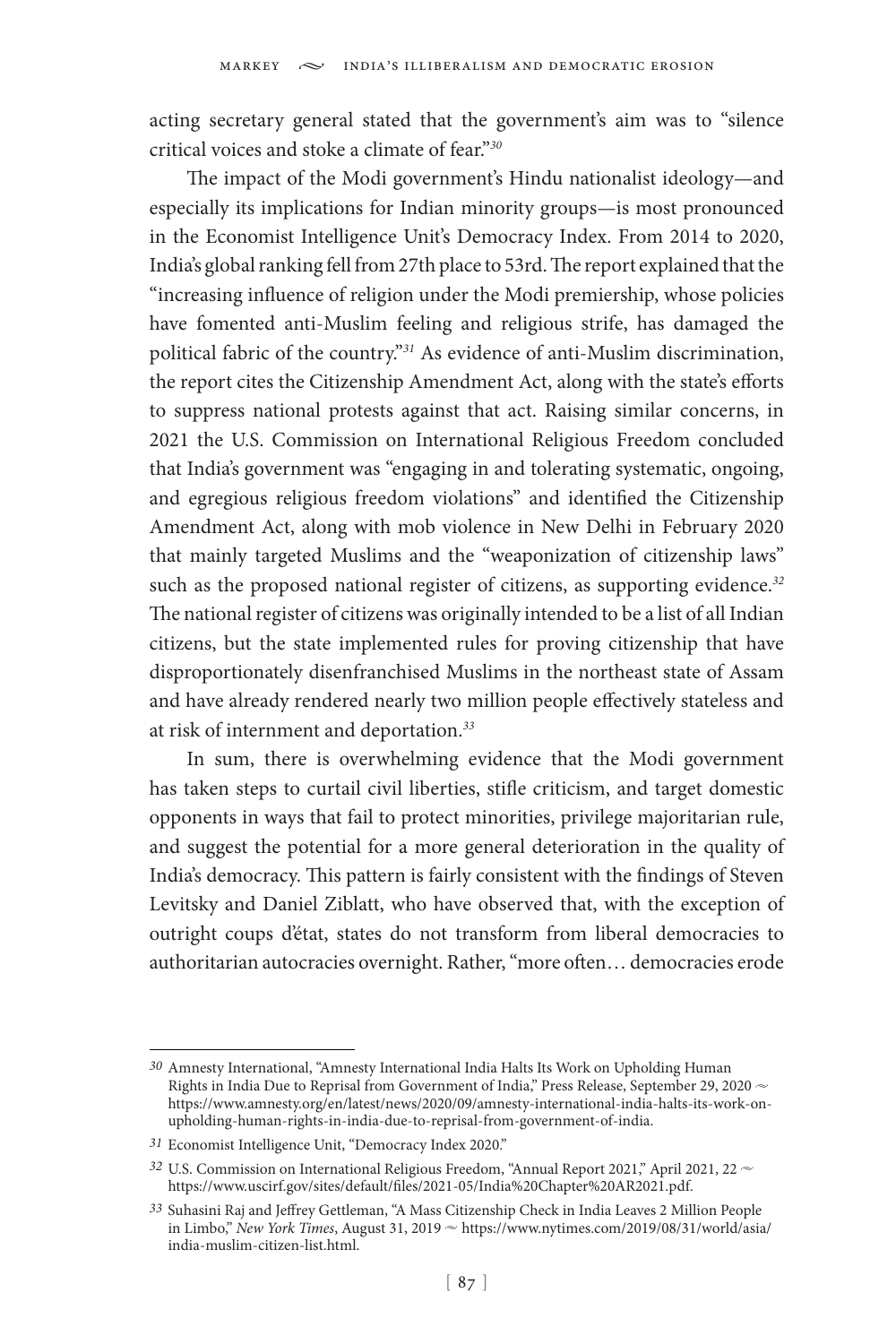acting secretary general stated that the government's aim was to "silence critical voices and stoke a climate of fear."*<sup>30</sup>*

The impact of the Modi government's Hindu nationalist ideology—and especially its implications for Indian minority groups—is most pronounced in the Economist Intelligence Unit's Democracy Index. From 2014 to 2020, India's global ranking fell from 27th place to 53rd. The report explained that the "increasing influence of religion under the Modi premiership, whose policies have fomented anti-Muslim feeling and religious strife, has damaged the political fabric of the country."*<sup>31</sup>* As evidence of anti-Muslim discrimination, the report cites the Citizenship Amendment Act, along with the state's efforts to suppress national protests against that act. Raising similar concerns, in 2021 the U.S. Commission on International Religious Freedom concluded that India's government was "engaging in and tolerating systematic, ongoing, and egregious religious freedom violations" and identified the Citizenship Amendment Act, along with mob violence in New Delhi in February 2020 that mainly targeted Muslims and the "weaponization of citizenship laws" such as the proposed national register of citizens, as supporting evidence.*<sup>32</sup>* The national register of citizens was originally intended to be a list of all Indian citizens, but the state implemented rules for proving citizenship that have disproportionately disenfranchised Muslims in the northeast state of Assam and have already rendered nearly two million people effectively stateless and at risk of internment and deportation.*<sup>33</sup>*

In sum, there is overwhelming evidence that the Modi government has taken steps to curtail civil liberties, stifle criticism, and target domestic opponents in ways that fail to protect minorities, privilege majoritarian rule, and suggest the potential for a more general deterioration in the quality of India's democracy. This pattern is fairly consistent with the findings of Steven Levitsky and Daniel Ziblatt, who have observed that, with the exception of outright coups d'état, states do not transform from liberal democracies to authoritarian autocracies overnight. Rather, "more often… democracies erode

*<sup>30</sup>* Amnesty International, "Amnesty International India Halts Its Work on Upholding Human Rights in India Due to Reprisal from Government of India," Press Release, September 29, 2020  $\sim$ https://www.amnesty.org/en/latest/news/2020/09/amnesty-international-india-halts-its-work-onupholding-human-rights-in-india-due-to-reprisal-from-government-of-india.

*<sup>31</sup>* Economist Intelligence Unit, "Democracy Index 2020."

<sup>32</sup> U.S. Commission on International Religious Freedom, "Annual Report 2021," April 2021, 22  $\sim$ https://www.uscirf.gov/sites/default/files/2021-05/India%20Chapter%20AR2021.pdf.

*<sup>33</sup>* Suhasini Raj and Jeffrey Gettleman, "A Mass Citizenship Check in India Leaves 2 Million People in Limbo," New York Times, August 31, 2019  $\sim$  [https://www.nytimes.com/2019/08/31/world/asia/](https://www.nytimes.com/2019/08/31/world/asia/india-muslim-citizen-list.html) [india-muslim-citizen-list.html.](https://www.nytimes.com/2019/08/31/world/asia/india-muslim-citizen-list.html)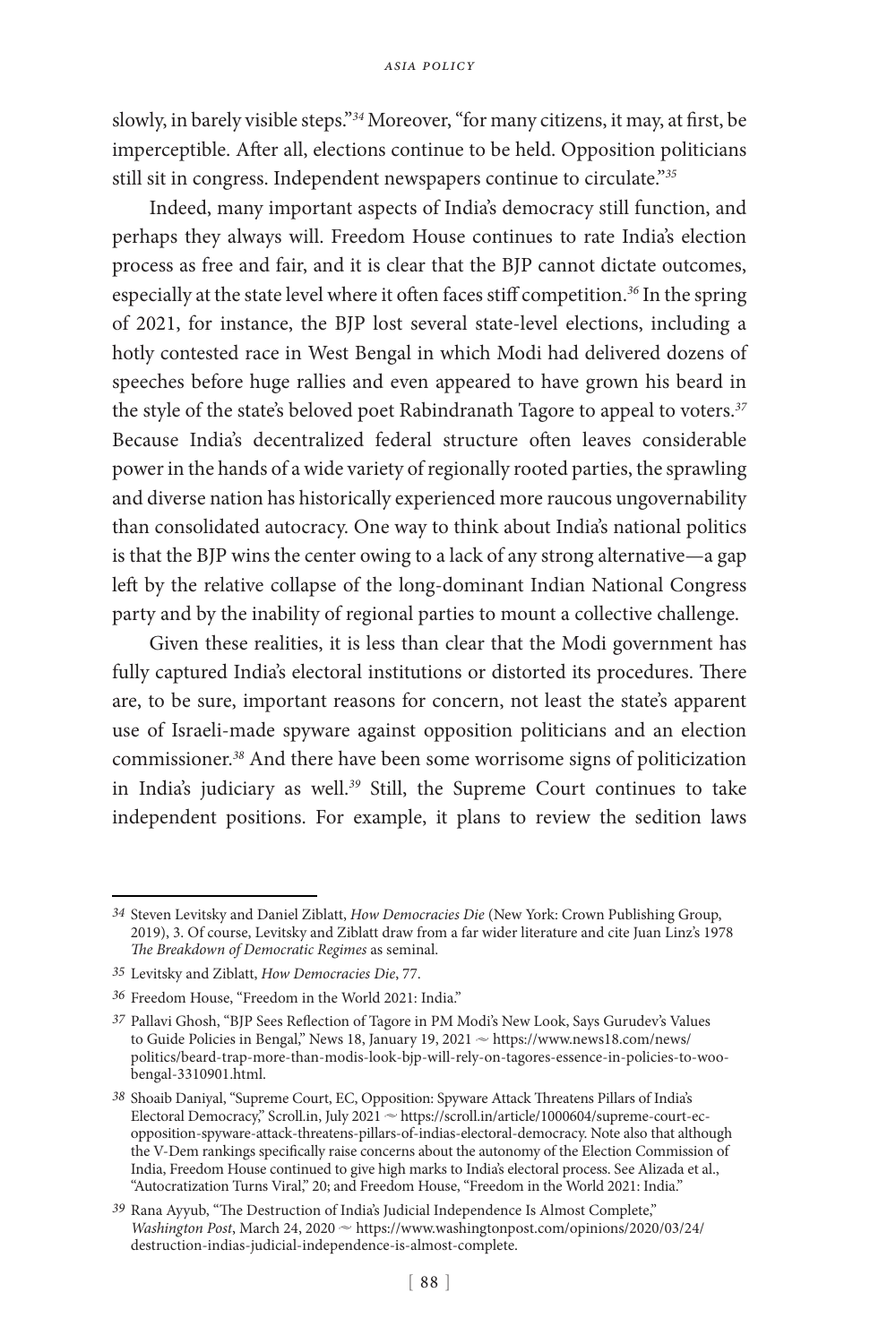slowly, in barely visible steps."*<sup>34</sup>* Moreover, "for many citizens, it may, at first, be imperceptible. After all, elections continue to be held. Opposition politicians still sit in congress. Independent newspapers continue to circulate."*<sup>35</sup>*

Indeed, many important aspects of India's democracy still function, and perhaps they always will. Freedom House continues to rate India's election process as free and fair, and it is clear that the BJP cannot dictate outcomes, especially at the state level where it often faces stiff competition.*<sup>36</sup>* In the spring of 2021, for instance, the BJP lost several state-level elections, including a hotly contested race in West Bengal in which Modi had delivered dozens of speeches before huge rallies and even appeared to have grown his beard in the style of the state's beloved poet Rabindranath Tagore to appeal to voters.*<sup>37</sup>* Because India's decentralized federal structure often leaves considerable power in the hands of a wide variety of regionally rooted parties, the sprawling and diverse nation has historically experienced more raucous ungovernability than consolidated autocracy. One way to think about India's national politics is that the BJP wins the center owing to a lack of any strong alternative—a gap left by the relative collapse of the long-dominant Indian National Congress party and by the inability of regional parties to mount a collective challenge.

Given these realities, it is less than clear that the Modi government has fully captured India's electoral institutions or distorted its procedures. There are, to be sure, important reasons for concern, not least the state's apparent use of Israeli-made spyware against opposition politicians and an election commissioner.*<sup>38</sup>* And there have been some worrisome signs of politicization in India's judiciary as well.*<sup>39</sup>* Still, the Supreme Court continues to take independent positions. For example, it plans to review the sedition laws

*<sup>34</sup>* Steven Levitsky and Daniel Ziblatt, *How Democracies Die* (New York: Crown Publishing Group, 2019), 3. Of course, Levitsky and Ziblatt draw from a far wider literature and cite Juan Linz's 1978 *The Breakdown of Democratic Regimes* as seminal.

*<sup>35</sup>* Levitsky and Ziblatt, *How Democracies Die*, 77.

*<sup>36</sup>* Freedom House, "Freedom in the World 2021: India."

*<sup>37</sup>* Pallavi Ghosh, "BJP Sees Reflection of Tagore in PM Modi's New Look, Says Gurudev's Values to Guide Policies in Bengal," News 18, January 19, 2021  $\sim$  https://www.news18.com/news/ politics/beard-trap-more-than-modis-look-bjp-will-rely-on-tagores-essence-in-policies-to-woobengal-3310901.html.

*<sup>38</sup>* Shoaib Daniyal, "Supreme Court, EC, Opposition: Spyware Attack Threatens Pillars of India's Electoral Democracy," Scroll.in, July 2021 ~ https://scroll.in/article/1000604/supreme-court-ecopposition-spyware-attack-threatens-pillars-of-indias-electoral-democracy. Note also that although the V-Dem rankings specifically raise concerns about the autonomy of the Election Commission of India, Freedom House continued to give high marks to India's electoral process. See Alizada et al., "Autocratization Turns Viral," 20; and Freedom House, "Freedom in the World 2021: India."

*<sup>39</sup>* Rana Ayyub, "The Destruction of India's Judicial Independence Is Almost Complete," *Washington Post*, March 24, 2020  $\sim$  https://www.washingtonpost.com/opinions/2020/03/24/ destruction-indias-judicial-independence-is-almost-complete.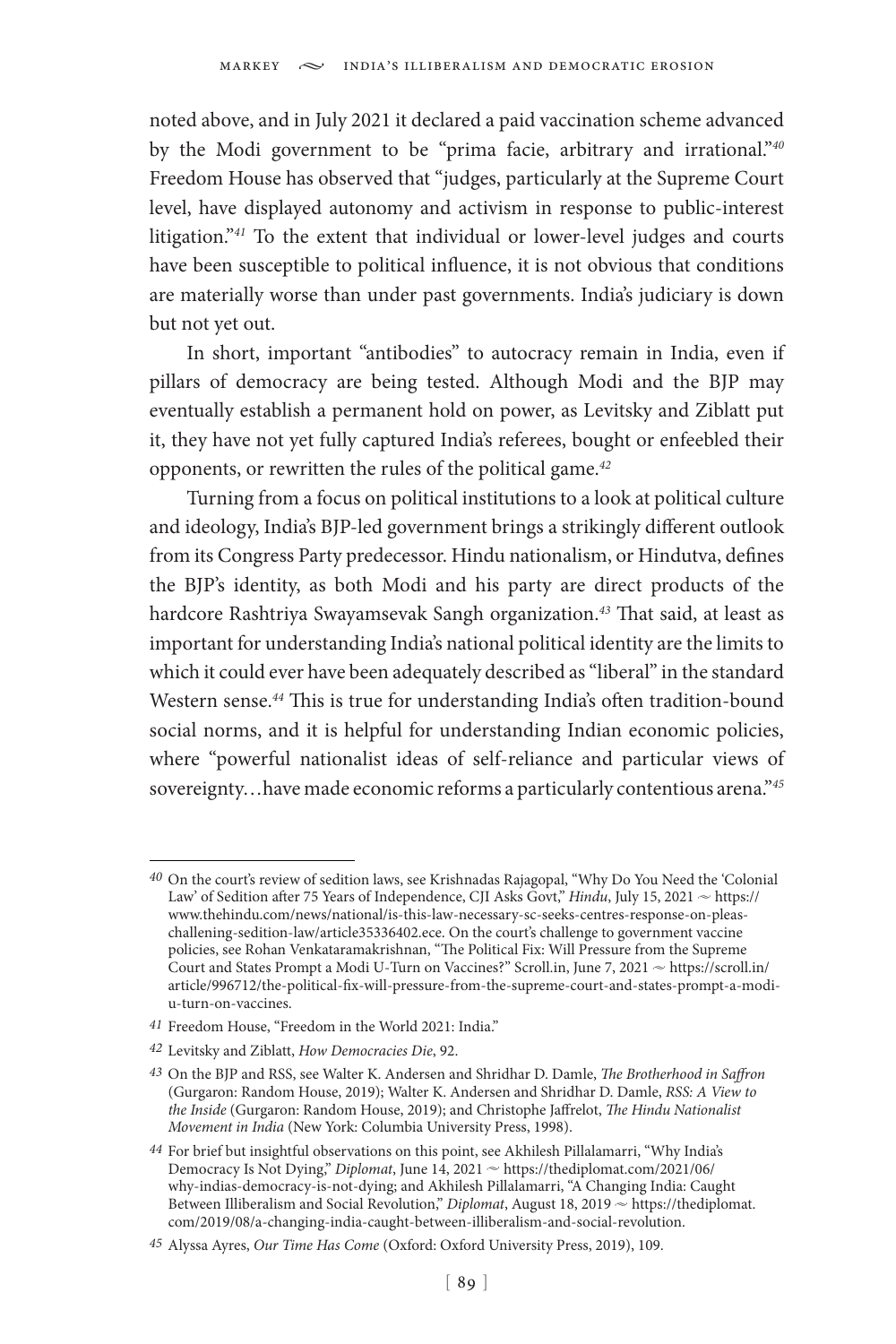noted above, and in July 2021 it declared a paid vaccination scheme advanced by the Modi government to be "prima facie, arbitrary and irrational."*<sup>40</sup>* Freedom House has observed that "judges, particularly at the Supreme Court level, have displayed autonomy and activism in response to public-interest litigation."*<sup>41</sup>* To the extent that individual or lower-level judges and courts have been susceptible to political influence, it is not obvious that conditions are materially worse than under past governments. India's judiciary is down but not yet out.

In short, important "antibodies" to autocracy remain in India, even if pillars of democracy are being tested. Although Modi and the BJP may eventually establish a permanent hold on power, as Levitsky and Ziblatt put it, they have not yet fully captured India's referees, bought or enfeebled their opponents, or rewritten the rules of the political game.*<sup>42</sup>*

Turning from a focus on political institutions to a look at political culture and ideology, India's BJP-led government brings a strikingly different outlook from its Congress Party predecessor. Hindu nationalism, or Hindutva, defines the BJP's identity, as both Modi and his party are direct products of the hardcore Rashtriya Swayamsevak Sangh organization.*<sup>43</sup>* That said, at least as important for understanding India's national political identity are the limits to which it could ever have been adequately described as "liberal" in the standard Western sense.*<sup>44</sup>* This is true for understanding India's often tradition-bound social norms, and it is helpful for understanding Indian economic policies, where "powerful nationalist ideas of self-reliance and particular views of sovereignty…have made economic reforms a particularly contentious arena."*<sup>45</sup>*

*<sup>40</sup>* On the court's review of sedition laws, see Krishnadas Rajagopal, "Why Do You Need the 'Colonial Law' of Sedition after 75 Years of Independence, CJI Asks Govt," *Hindu*, July 15, 2021  $\sim$  [https://](https://www.thehindu.com/news/national/is-this-law-necessary-sc-seeks-centres-response-on-pleas-challening-sedition-law/article35336402.ece) [www.thehindu.com/news/national/is-this-law-necessary-sc-seeks-centres-response-on-pleas](https://www.thehindu.com/news/national/is-this-law-necessary-sc-seeks-centres-response-on-pleas-challening-sedition-law/article35336402.ece)[challening-sedition-law/article35336402.ece.](https://www.thehindu.com/news/national/is-this-law-necessary-sc-seeks-centres-response-on-pleas-challening-sedition-law/article35336402.ece) On the court's challenge to government vaccine policies, see Rohan Venkataramakrishnan, "The Political Fix: Will Pressure from the Supreme Court and States Prompt a Modi U-Turn on Vaccines?" Scroll.in, June 7, 2021  $\sim$  https://scroll.in/ article/996712/the-political-fix-will-pressure-from-the-supreme-court-and-states-prompt-a-modiu-turn-on-vaccines.

*<sup>41</sup>* Freedom House, "Freedom in the World 2021: India."

*<sup>42</sup>* Levitsky and Ziblatt, *How Democracies Die*, 92.

*<sup>43</sup>* On the BJP and RSS, see Walter K. Andersen and Shridhar D. Damle, *The Brotherhood in Saffron* (Gurgaron: Random House, 2019); Walter K. Andersen and Shridhar D. Damle, *RSS: A View to the Inside* (Gurgaron: Random House, 2019); and Christophe Jaffrelot, *The Hindu Nationalist Movement in India* (New York: Columbia University Press, 1998).

*<sup>44</sup>* For brief but insightful observations on this point, see Akhilesh Pillalamarri, "Why India's Democracy Is Not Dying," *Diplomat*, June 14, 2021 ≈ https://thediplomat.com/2021/06/ why-indias-democracy-is-not-dying; and Akhilesh Pillalamarri, "A Changing India: Caught Between Illiberalism and Social Revolution," *Diplomat*, August 18, 2019  $\sim$  https://thediplomat. com/2019/08/a-changing-india-caught-between-illiberalism-and-social-revolution.

*<sup>45</sup>* Alyssa Ayres, *Our Time Has Come* (Oxford: Oxford University Press, 2019), 109.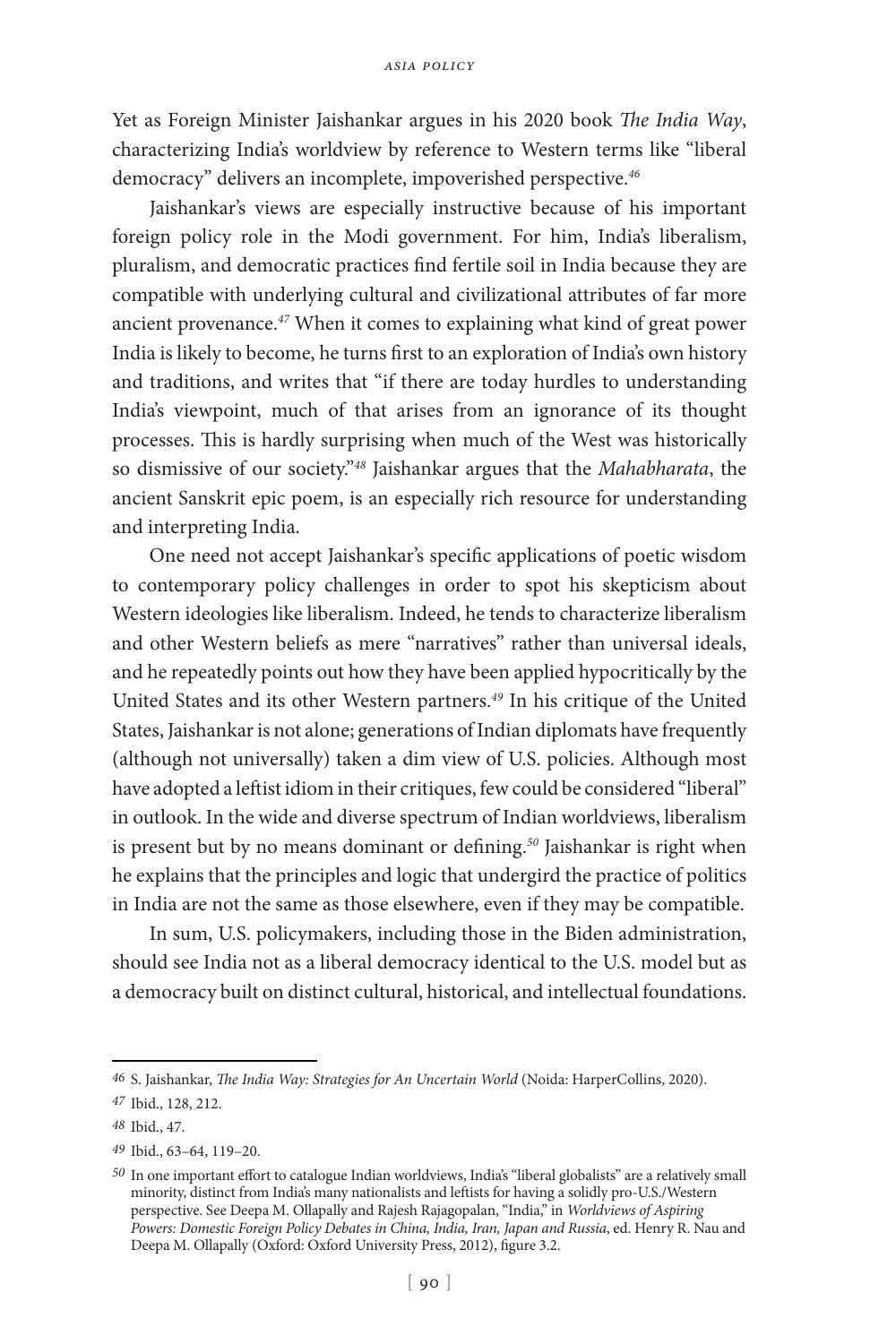Yet as Foreign Minister Jaishankar argues in his 2020 book *The India Way*, characterizing India's worldview by reference to Western terms like "liberal democracy" delivers an incomplete, impoverished perspective.*<sup>46</sup>*

Jaishankar's views are especially instructive because of his important foreign policy role in the Modi government. For him, India's liberalism, pluralism, and democratic practices find fertile soil in India because they are compatible with underlying cultural and civilizational attributes of far more ancient provenance.*<sup>47</sup>* When it comes to explaining what kind of great power India is likely to become, he turns first to an exploration of India's own history and traditions, and writes that "if there are today hurdles to understanding India's viewpoint, much of that arises from an ignorance of its thought processes. This is hardly surprising when much of the West was historically so dismissive of our society."*<sup>48</sup>* Jaishankar argues that the *Mahabharata*, the ancient Sanskrit epic poem, is an especially rich resource for understanding and interpreting India.

One need not accept Jaishankar's specific applications of poetic wisdom to contemporary policy challenges in order to spot his skepticism about Western ideologies like liberalism. Indeed, he tends to characterize liberalism and other Western beliefs as mere "narratives" rather than universal ideals, and he repeatedly points out how they have been applied hypocritically by the United States and its other Western partners.*<sup>49</sup>* In his critique of the United States, Jaishankar is not alone; generations of Indian diplomats have frequently (although not universally) taken a dim view of U.S. policies. Although most have adopted a leftist idiom in their critiques, few could be considered "liberal" in outlook. In the wide and diverse spectrum of Indian worldviews, liberalism is present but by no means dominant or defining.*<sup>50</sup>* Jaishankar is right when he explains that the principles and logic that undergird the practice of politics in India are not the same as those elsewhere, even if they may be compatible.

In sum, U.S. policymakers, including those in the Biden administration, should see India not as a liberal democracy identical to the U.S. model but as a democracy built on distinct cultural, historical, and intellectual foundations.

*<sup>46</sup>* S. Jaishankar, *The India Way: Strategies for An Uncertain World* (Noida: HarperCollins, 2020).

*<sup>47</sup>* Ibid., 128, 212.

*<sup>48</sup>* Ibid., 47.

*<sup>49</sup>* Ibid., 63–64, 119–20.

*<sup>50</sup>* In one important effort to catalogue Indian worldviews, India's "liberal globalists" are a relatively small minority, distinct from India's many nationalists and leftists for having a solidly pro-U.S./Western perspective. See Deepa M. Ollapally and Rajesh Rajagopalan, "India," in *Worldviews of Aspiring Powers: Domestic Foreign Policy Debates in China, India, Iran, Japan and Russia*, ed. Henry R. Nau and Deepa M. Ollapally (Oxford: Oxford University Press, 2012), figure 3.2.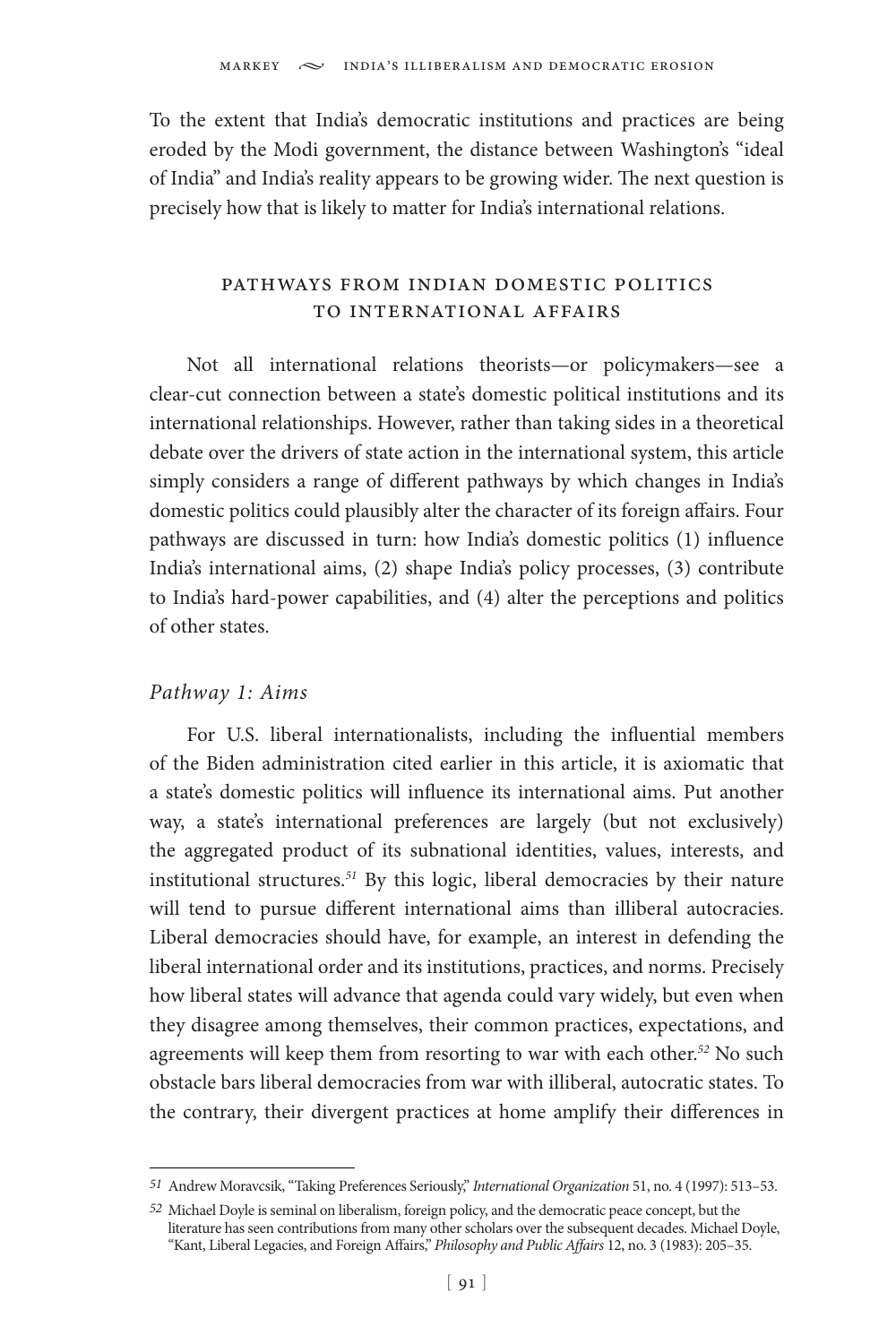To the extent that India's democratic institutions and practices are being eroded by the Modi government, the distance between Washington's "ideal of India" and India's reality appears to be growing wider. The next question is precisely how that is likely to matter for India's international relations.

# pathways from indian domestic politics to international affairs

Not all international relations theorists—or policymakers—see a clear-cut connection between a state's domestic political institutions and its international relationships. However, rather than taking sides in a theoretical debate over the drivers of state action in the international system, this article simply considers a range of different pathways by which changes in India's domestic politics could plausibly alter the character of its foreign affairs. Four pathways are discussed in turn: how India's domestic politics (1) influence India's international aims, (2) shape India's policy processes, (3) contribute to India's hard-power capabilities, and (4) alter the perceptions and politics of other states.

# *Pathway 1: Aims*

For U.S. liberal internationalists, including the influential members of the Biden administration cited earlier in this article, it is axiomatic that a state's domestic politics will influence its international aims. Put another way, a state's international preferences are largely (but not exclusively) the aggregated product of its subnational identities, values, interests, and institutional structures.*<sup>51</sup>* By this logic, liberal democracies by their nature will tend to pursue different international aims than illiberal autocracies. Liberal democracies should have, for example, an interest in defending the liberal international order and its institutions, practices, and norms. Precisely how liberal states will advance that agenda could vary widely, but even when they disagree among themselves, their common practices, expectations, and agreements will keep them from resorting to war with each other.*<sup>52</sup>* No such obstacle bars liberal democracies from war with illiberal, autocratic states. To the contrary, their divergent practices at home amplify their differences in

*<sup>51</sup>* Andrew Moravcsik, "Taking Preferences Seriously," *International Organization* 51, no. 4 (1997): 513–53.

*<sup>52</sup>* Michael Doyle is seminal on liberalism, foreign policy, and the democratic peace concept, but the literature has seen contributions from many other scholars over the subsequent decades. Michael Doyle, "Kant, Liberal Legacies, and Foreign Affairs," *Philosophy and Public Affairs* 12, no. 3 (1983): 205–35.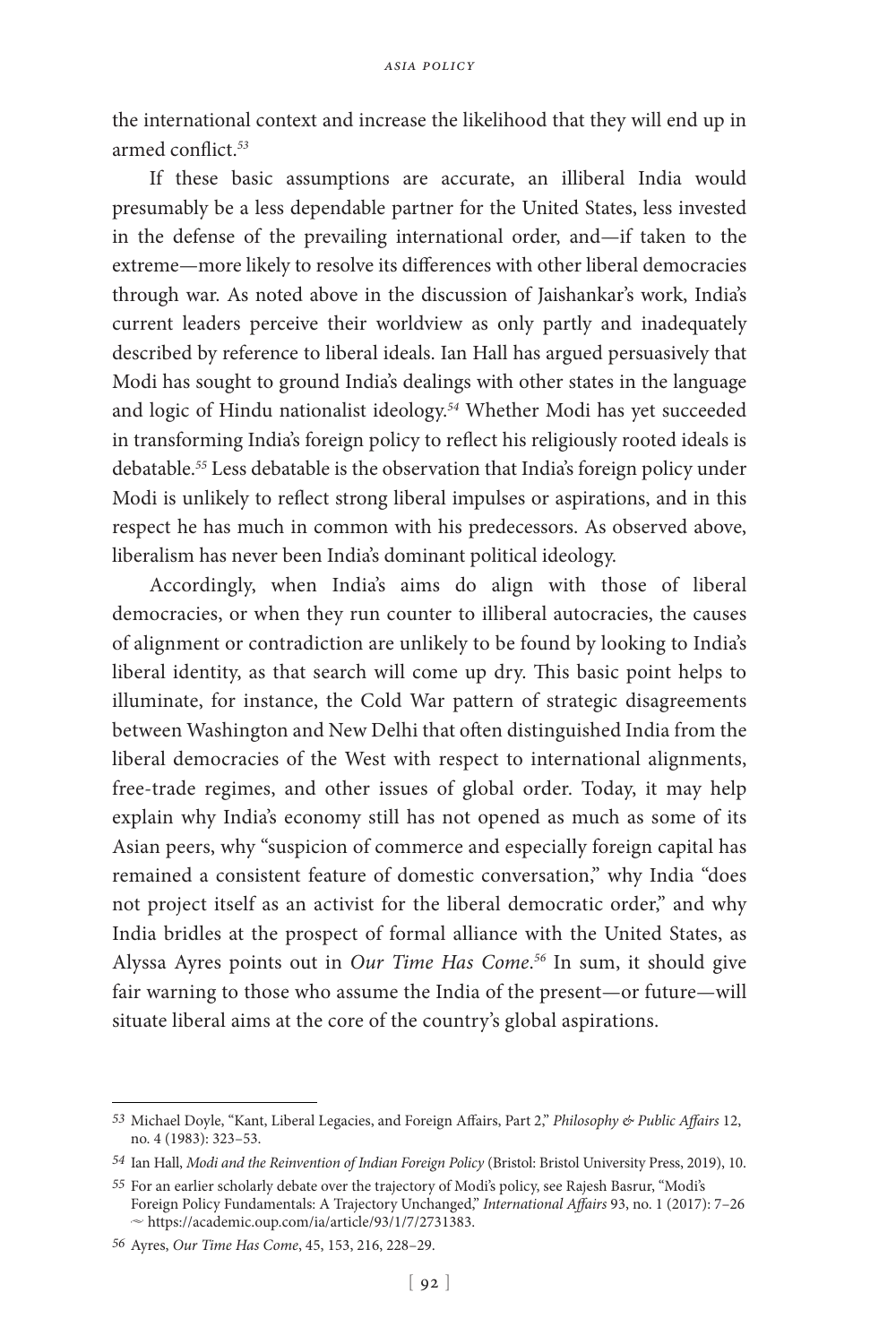the international context and increase the likelihood that they will end up in armed conflict.*<sup>53</sup>*

If these basic assumptions are accurate, an illiberal India would presumably be a less dependable partner for the United States, less invested in the defense of the prevailing international order, and—if taken to the extreme—more likely to resolve its differences with other liberal democracies through war. As noted above in the discussion of Jaishankar's work, India's current leaders perceive their worldview as only partly and inadequately described by reference to liberal ideals. Ian Hall has argued persuasively that Modi has sought to ground India's dealings with other states in the language and logic of Hindu nationalist ideology.*<sup>54</sup>* Whether Modi has yet succeeded in transforming India's foreign policy to reflect his religiously rooted ideals is debatable.*<sup>55</sup>* Less debatable is the observation that India's foreign policy under Modi is unlikely to reflect strong liberal impulses or aspirations, and in this respect he has much in common with his predecessors. As observed above, liberalism has never been India's dominant political ideology.

Accordingly, when India's aims do align with those of liberal democracies, or when they run counter to illiberal autocracies, the causes of alignment or contradiction are unlikely to be found by looking to India's liberal identity, as that search will come up dry. This basic point helps to illuminate, for instance, the Cold War pattern of strategic disagreements between Washington and New Delhi that often distinguished India from the liberal democracies of the West with respect to international alignments, free-trade regimes, and other issues of global order. Today, it may help explain why India's economy still has not opened as much as some of its Asian peers, why "suspicion of commerce and especially foreign capital has remained a consistent feature of domestic conversation," why India "does not project itself as an activist for the liberal democratic order," and why India bridles at the prospect of formal alliance with the United States, as Alyssa Ayres points out in *Our Time Has Come*. *<sup>56</sup>* In sum, it should give fair warning to those who assume the India of the present—or future—will situate liberal aims at the core of the country's global aspirations.

*<sup>53</sup>* Michael Doyle, "Kant, Liberal Legacies, and Foreign Affairs, Part 2," *Philosophy & Public Affairs* 12, no. 4 (1983): 323–53.

*<sup>54</sup>* Ian Hall, *Modi and the Reinvention of Indian Foreign Policy* (Bristol: Bristol University Press, 2019), 10.

*<sup>55</sup>* For an earlier scholarly debate over the trajectory of Modi's policy, see Rajesh Basrur, "Modi's Foreign Policy Fundamentals: A Trajectory Unchanged," *International Affairs* 93, no. 1 (2017): 7–26  $\sim$  https://academic.oup.com/ia/article/93/1/7/2731383.

*<sup>56</sup>* Ayres, *Our Time Has Come*, 45, 153, 216, 228–29.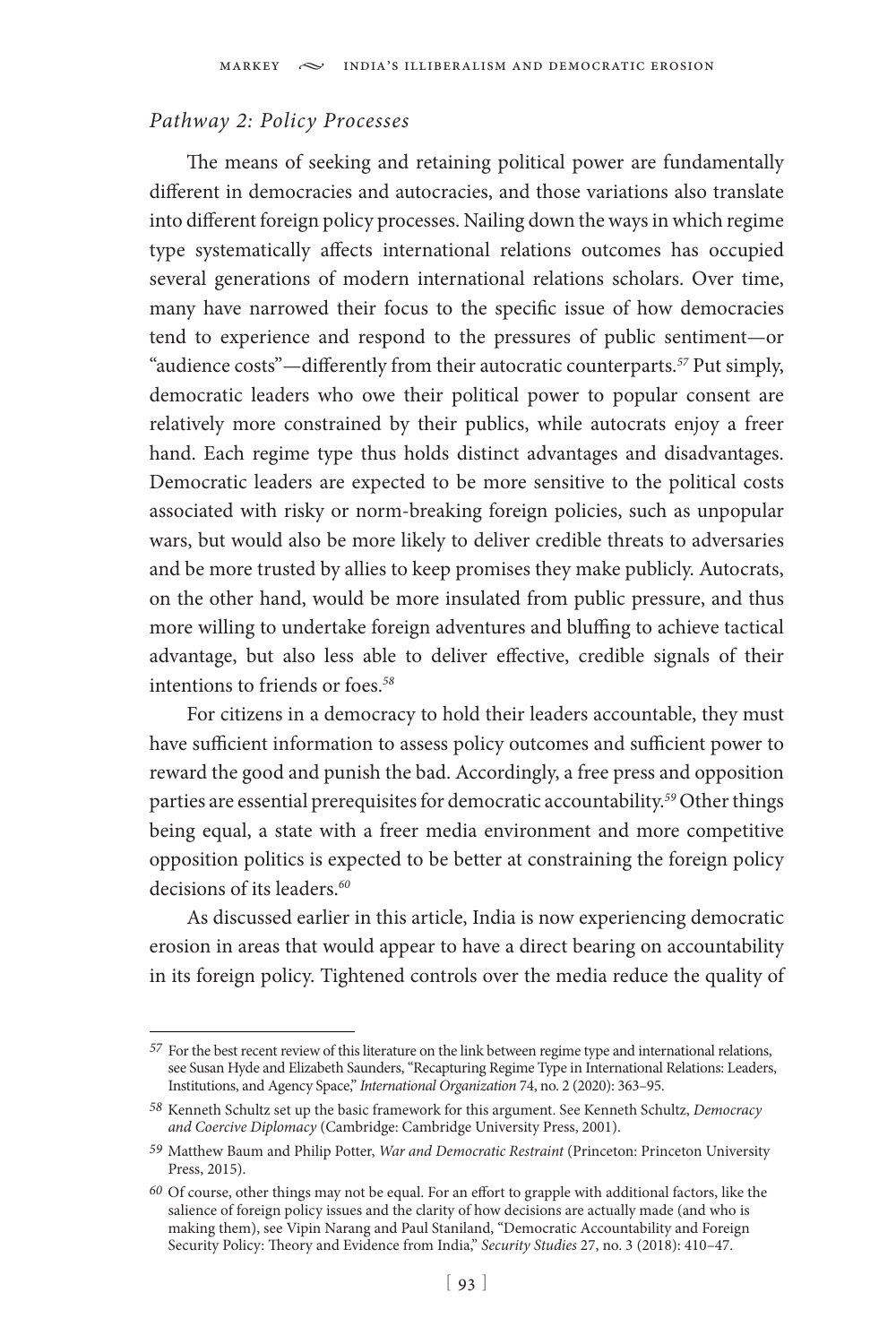## *Pathway 2: Policy Processes*

The means of seeking and retaining political power are fundamentally different in democracies and autocracies, and those variations also translate into different foreign policy processes. Nailing down the ways in which regime type systematically affects international relations outcomes has occupied several generations of modern international relations scholars. Over time, many have narrowed their focus to the specific issue of how democracies tend to experience and respond to the pressures of public sentiment—or "audience costs"—differently from their autocratic counterparts.*<sup>57</sup>* Put simply, democratic leaders who owe their political power to popular consent are relatively more constrained by their publics, while autocrats enjoy a freer hand. Each regime type thus holds distinct advantages and disadvantages. Democratic leaders are expected to be more sensitive to the political costs associated with risky or norm-breaking foreign policies, such as unpopular wars, but would also be more likely to deliver credible threats to adversaries and be more trusted by allies to keep promises they make publicly. Autocrats, on the other hand, would be more insulated from public pressure, and thus more willing to undertake foreign adventures and bluffing to achieve tactical advantage, but also less able to deliver effective, credible signals of their intentions to friends or foes.*<sup>58</sup>*

For citizens in a democracy to hold their leaders accountable, they must have sufficient information to assess policy outcomes and sufficient power to reward the good and punish the bad. Accordingly, a free press and opposition parties are essential prerequisites for democratic accountability.*<sup>59</sup>* Other things being equal, a state with a freer media environment and more competitive opposition politics is expected to be better at constraining the foreign policy decisions of its leaders.*<sup>60</sup>*

As discussed earlier in this article, India is now experiencing democratic erosion in areas that would appear to have a direct bearing on accountability in its foreign policy. Tightened controls over the media reduce the quality of

*<sup>57</sup>* For the best recent review of this literature on the link between regime type and international relations, see Susan Hyde and Elizabeth Saunders, "Recapturing Regime Type in International Relations: Leaders, Institutions, and Agency Space," *International Organization* 74, no. 2 (2020): 363–95.

*<sup>58</sup>* Kenneth Schultz set up the basic framework for this argument. See Kenneth Schultz, *Democracy and Coercive Diplomacy* (Cambridge: Cambridge University Press, 2001).

*<sup>59</sup>* Matthew Baum and Philip Potter, *War and Democratic Restraint* (Princeton: Princeton University Press, 2015).

*<sup>60</sup>* Of course, other things may not be equal. For an effort to grapple with additional factors, like the salience of foreign policy issues and the clarity of how decisions are actually made (and who is making them), see Vipin Narang and Paul Staniland, "Democratic Accountability and Foreign Security Policy: Theory and Evidence from India," *Security Studies* 27, no. 3 (2018): 410–47.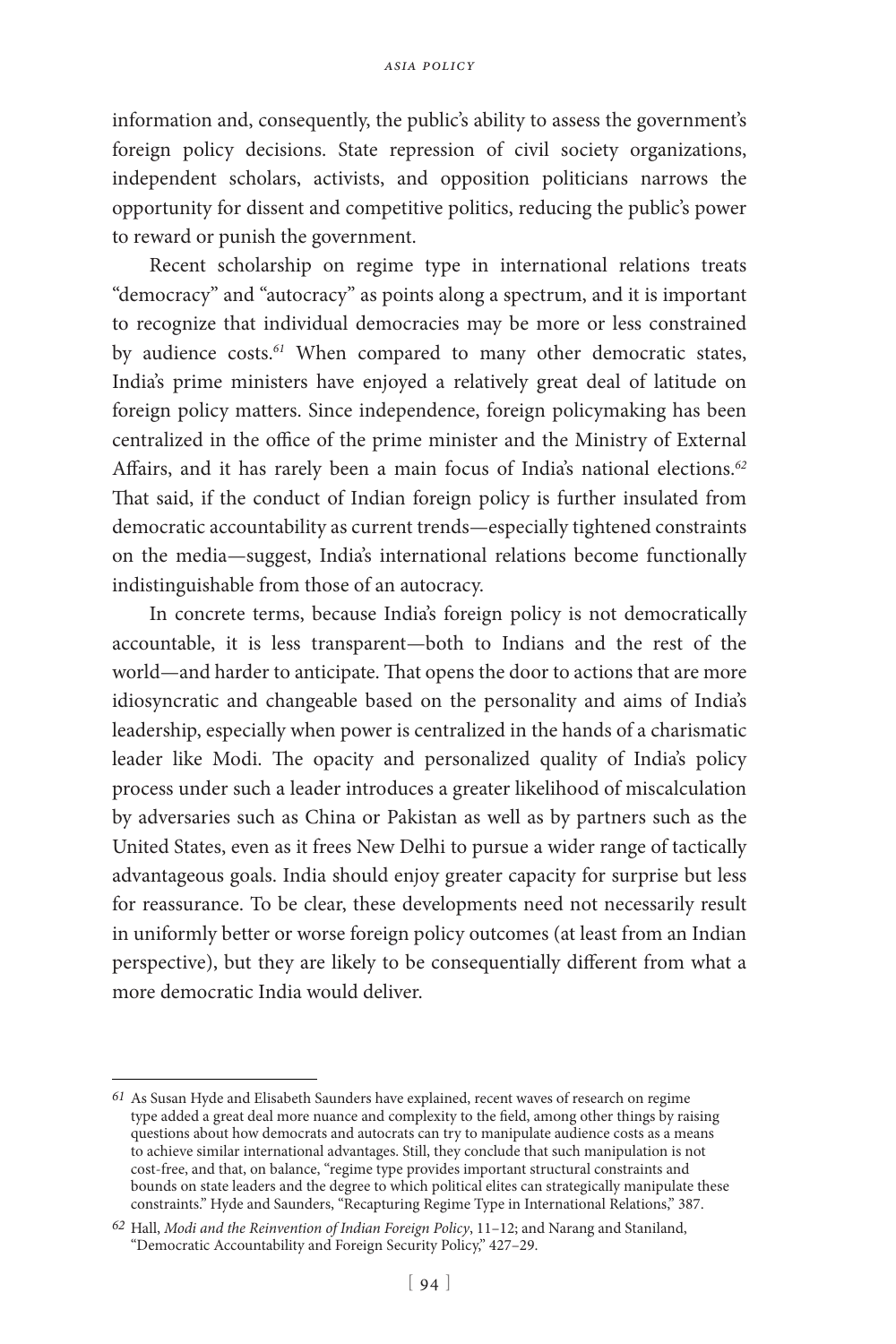information and, consequently, the public's ability to assess the government's foreign policy decisions. State repression of civil society organizations, independent scholars, activists, and opposition politicians narrows the opportunity for dissent and competitive politics, reducing the public's power to reward or punish the government.

Recent scholarship on regime type in international relations treats "democracy" and "autocracy" as points along a spectrum, and it is important to recognize that individual democracies may be more or less constrained by audience costs.*<sup>61</sup>* When compared to many other democratic states, India's prime ministers have enjoyed a relatively great deal of latitude on foreign policy matters. Since independence, foreign policymaking has been centralized in the office of the prime minister and the Ministry of External Affairs, and it has rarely been a main focus of India's national elections.*<sup>62</sup>* That said, if the conduct of Indian foreign policy is further insulated from democratic accountability as current trends—especially tightened constraints on the media—suggest, India's international relations become functionally indistinguishable from those of an autocracy.

In concrete terms, because India's foreign policy is not democratically accountable, it is less transparent—both to Indians and the rest of the world—and harder to anticipate. That opens the door to actions that are more idiosyncratic and changeable based on the personality and aims of India's leadership, especially when power is centralized in the hands of a charismatic leader like Modi. The opacity and personalized quality of India's policy process under such a leader introduces a greater likelihood of miscalculation by adversaries such as China or Pakistan as well as by partners such as the United States, even as it frees New Delhi to pursue a wider range of tactically advantageous goals. India should enjoy greater capacity for surprise but less for reassurance. To be clear, these developments need not necessarily result in uniformly better or worse foreign policy outcomes (at least from an Indian perspective), but they are likely to be consequentially different from what a more democratic India would deliver.

*<sup>61</sup>* As Susan Hyde and Elisabeth Saunders have explained, recent waves of research on regime type added a great deal more nuance and complexity to the field, among other things by raising questions about how democrats and autocrats can try to manipulate audience costs as a means to achieve similar international advantages. Still, they conclude that such manipulation is not cost-free, and that, on balance, "regime type provides important structural constraints and bounds on state leaders and the degree to which political elites can strategically manipulate these constraints." Hyde and Saunders, "Recapturing Regime Type in International Relations," 387.

*<sup>62</sup>* Hall, *Modi and the Reinvention of Indian Foreign Policy*, 11–12; and Narang and Staniland, "Democratic Accountability and Foreign Security Policy," 427–29.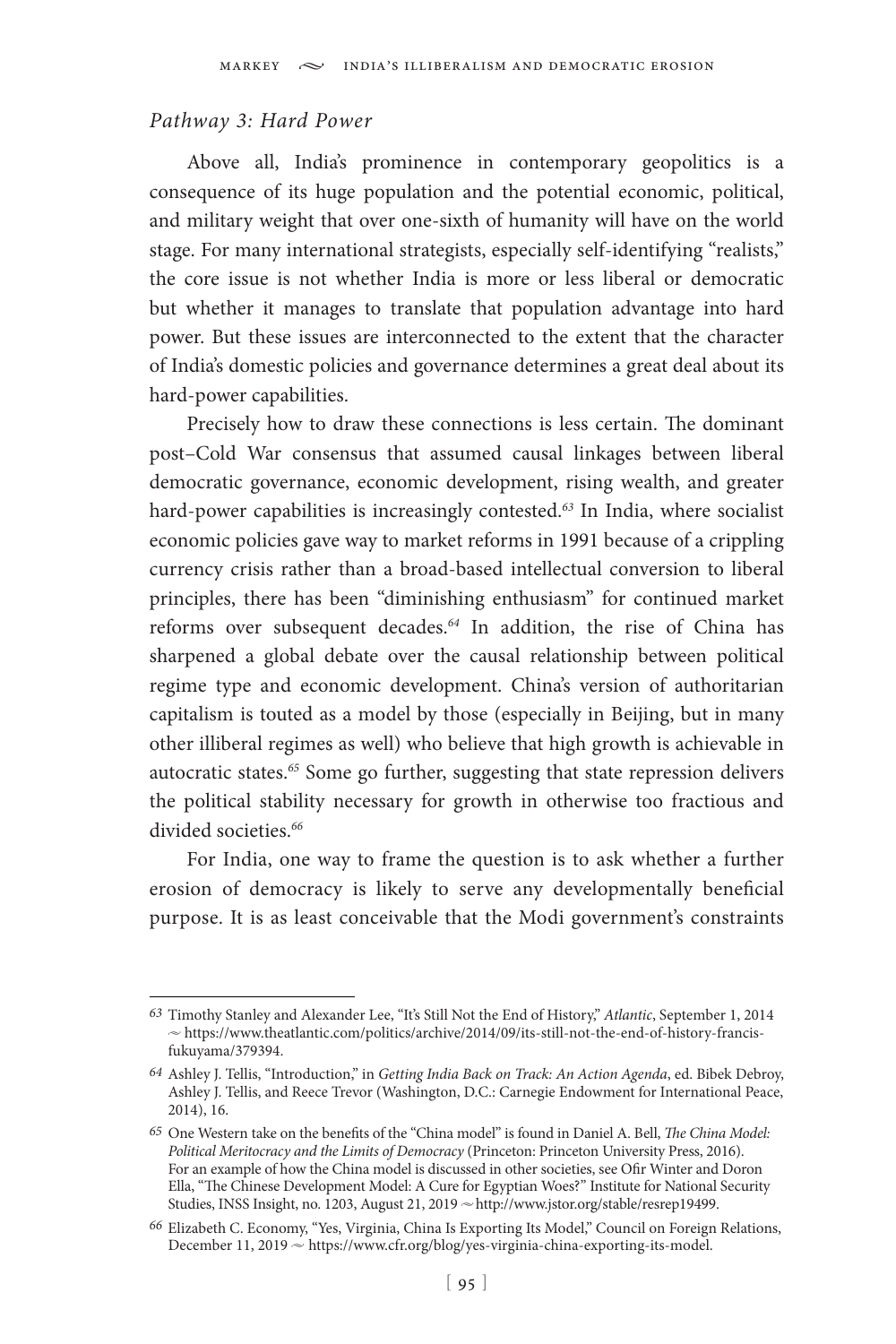#### *Pathway 3: Hard Power*

Above all, India's prominence in contemporary geopolitics is a consequence of its huge population and the potential economic, political, and military weight that over one-sixth of humanity will have on the world stage. For many international strategists, especially self-identifying "realists," the core issue is not whether India is more or less liberal or democratic but whether it manages to translate that population advantage into hard power. But these issues are interconnected to the extent that the character of India's domestic policies and governance determines a great deal about its hard-power capabilities.

Precisely how to draw these connections is less certain. The dominant post–Cold War consensus that assumed causal linkages between liberal democratic governance, economic development, rising wealth, and greater hard-power capabilities is increasingly contested.*<sup>63</sup>* In India, where socialist economic policies gave way to market reforms in 1991 because of a crippling currency crisis rather than a broad-based intellectual conversion to liberal principles, there has been "diminishing enthusiasm" for continued market reforms over subsequent decades.*<sup>64</sup>* In addition, the rise of China has sharpened a global debate over the causal relationship between political regime type and economic development. China's version of authoritarian capitalism is touted as a model by those (especially in Beijing, but in many other illiberal regimes as well) who believe that high growth is achievable in autocratic states.*<sup>65</sup>* Some go further, suggesting that state repression delivers the political stability necessary for growth in otherwise too fractious and divided societies.*<sup>66</sup>*

For India, one way to frame the question is to ask whether a further erosion of democracy is likely to serve any developmentally beneficial purpose. It is as least conceivable that the Modi government's constraints

*<sup>63</sup>* Timothy Stanley and Alexander Lee, "It's Still Not the End of History," *Atlantic*, September 1, 2014  $\sim$  https://www.theatlantic.com/politics/archive/2014/09/its-still-not-the-end-of-history-francisfukuyama/379394.

*<sup>64</sup>* Ashley J. Tellis, "Introduction," in *Getting India Back on Track: An Action Agenda*, ed. Bibek Debroy, Ashley J. Tellis, and Reece Trevor (Washington, D.C.: Carnegie Endowment for International Peace, 2014), 16.

*<sup>65</sup>* One Western take on the benefits of the "China model" is found in Daniel A. Bell, *The China Model: Political Meritocracy and the Limits of Democracy* (Princeton: Princeton University Press, 2016). For an example of how the China model is discussed in other societies, see Ofir Winter and Doron Ella, "The Chinese Development Model: A Cure for Egyptian Woes?" Institute for National Security Studies, INSS Insight, no. 1203, August 21, 2019 ~ http://www.jstor.org/stable/resrep19499.

*<sup>66</sup>* Elizabeth C. Economy, "Yes, Virginia, China Is Exporting Its Model," Council on Foreign Relations, December 11, 2019 ~ https://www.cfr.org/blog/yes-virginia-china-exporting-its-model.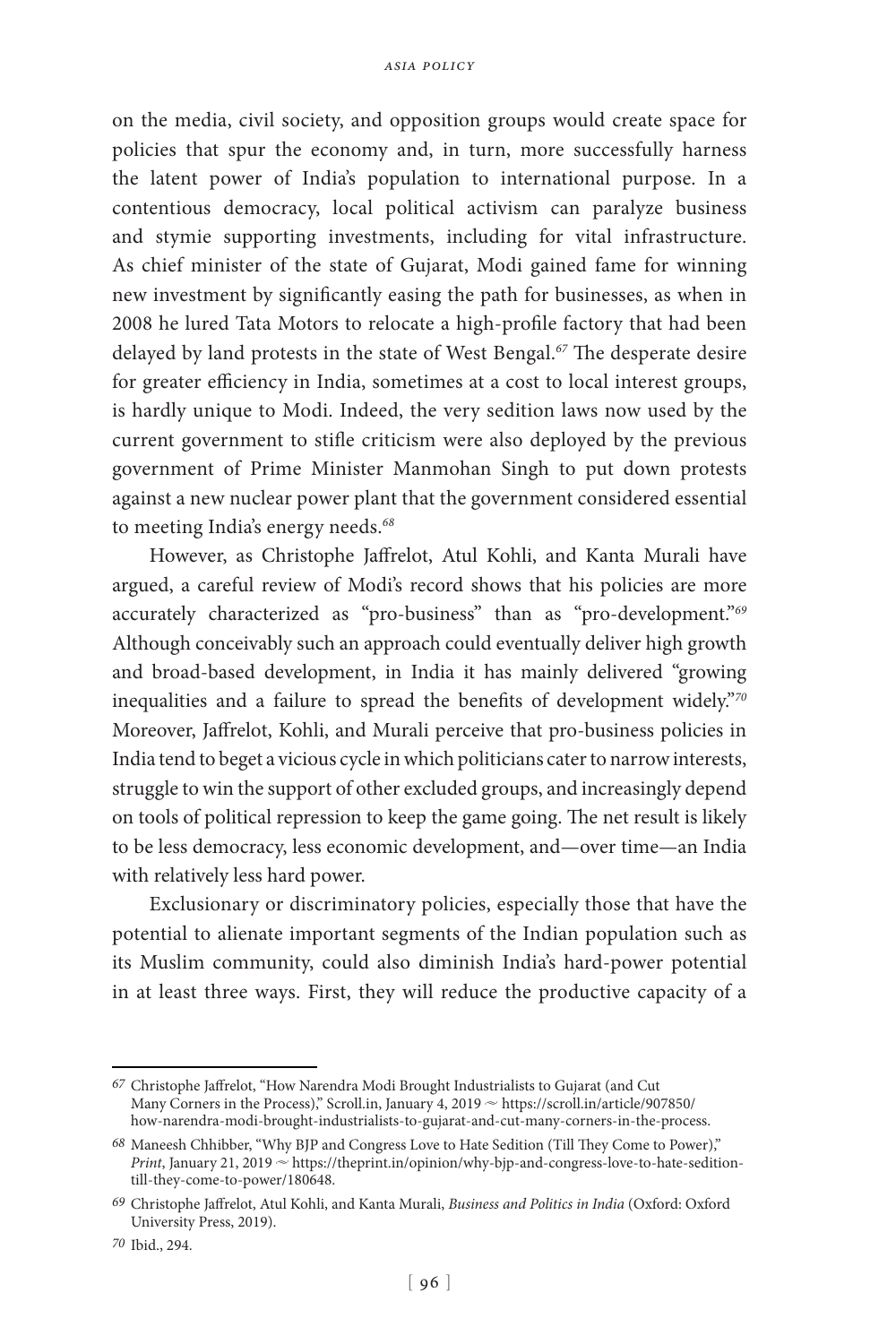on the media, civil society, and opposition groups would create space for policies that spur the economy and, in turn, more successfully harness the latent power of India's population to international purpose. In a contentious democracy, local political activism can paralyze business and stymie supporting investments, including for vital infrastructure. As chief minister of the state of Gujarat, Modi gained fame for winning new investment by significantly easing the path for businesses, as when in 2008 he lured Tata Motors to relocate a high-profile factory that had been delayed by land protests in the state of West Bengal.*<sup>67</sup>* The desperate desire for greater efficiency in India, sometimes at a cost to local interest groups, is hardly unique to Modi. Indeed, the very sedition laws now used by the current government to stifle criticism were also deployed by the previous government of Prime Minister Manmohan Singh to put down protests against a new nuclear power plant that the government considered essential to meeting India's energy needs.*<sup>68</sup>*

However, as Christophe Jaffrelot, Atul Kohli, and Kanta Murali have argued, a careful review of Modi's record shows that his policies are more accurately characterized as "pro-business" than as "pro-development."*<sup>69</sup>* Although conceivably such an approach could eventually deliver high growth and broad-based development, in India it has mainly delivered "growing inequalities and a failure to spread the benefits of development widely."*<sup>70</sup>* Moreover, Jaffrelot, Kohli, and Murali perceive that pro-business policies in India tend to beget a vicious cycle in which politicians cater to narrow interests, struggle to win the support of other excluded groups, and increasingly depend on tools of political repression to keep the game going. The net result is likely to be less democracy, less economic development, and—over time—an India with relatively less hard power.

Exclusionary or discriminatory policies, especially those that have the potential to alienate important segments of the Indian population such as its Muslim community, could also diminish India's hard-power potential in at least three ways. First, they will reduce the productive capacity of a

*<sup>67</sup>* Christophe Jaffrelot, "How Narendra Modi Brought Industrialists to Gujarat (and Cut Many Corners in the Process)," Scroll.in, January 4, 2019  $\sim$  https://scroll.in/article/907850/ how-narendra-modi-brought-industrialists-to-gujarat-and-cut-many-corners-in-the-process.

*<sup>68</sup>* Maneesh Chhibber, "Why BJP and Congress Love to Hate Sedition (Till They Come to Power)," *Print*, January 21, 2019  $\sim$  https://theprint.in/opinion/why-bjp-and-congress-love-to-hate-seditiontill-they-come-to-power/180648.

*<sup>69</sup>* Christophe Jaffrelot, Atul Kohli, and Kanta Murali, *Business and Politics in India* (Oxford: Oxford University Press, 2019).

*<sup>70</sup>* Ibid., 294.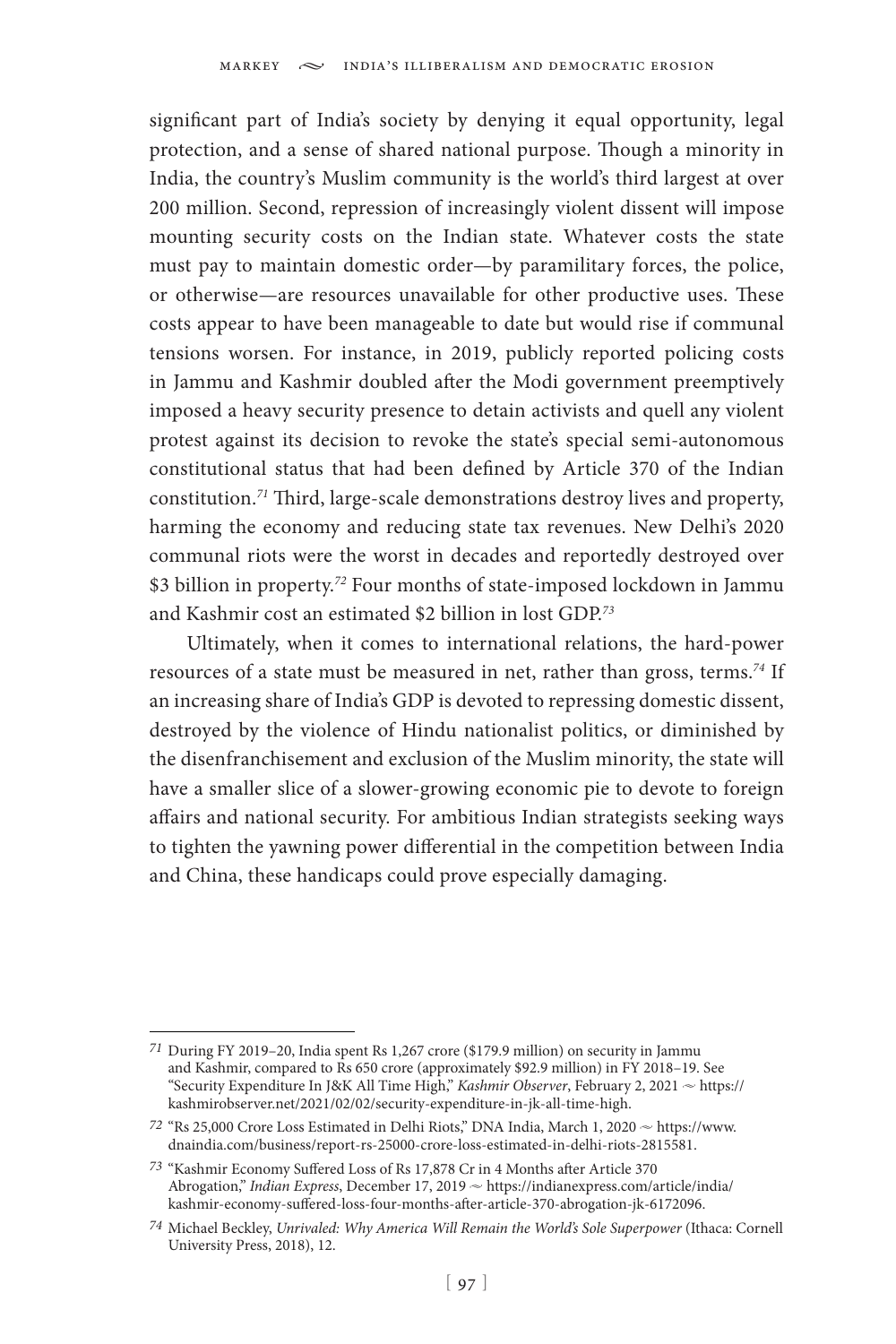significant part of India's society by denying it equal opportunity, legal protection, and a sense of shared national purpose. Though a minority in India, the country's Muslim community is the world's third largest at over 200 million. Second, repression of increasingly violent dissent will impose mounting security costs on the Indian state. Whatever costs the state must pay to maintain domestic order—by paramilitary forces, the police, or otherwise—are resources unavailable for other productive uses. These costs appear to have been manageable to date but would rise if communal tensions worsen. For instance, in 2019, publicly reported policing costs in Jammu and Kashmir doubled after the Modi government preemptively imposed a heavy security presence to detain activists and quell any violent protest against its decision to revoke the state's special semi-autonomous constitutional status that had been defined by Article 370 of the Indian constitution.*<sup>71</sup>* Third, large-scale demonstrations destroy lives and property, harming the economy and reducing state tax revenues. New Delhi's 2020 communal riots were the worst in decades and reportedly destroyed over \$3 billion in property.*<sup>72</sup>* Four months of state-imposed lockdown in Jammu and Kashmir cost an estimated \$2 billion in lost GDP.*<sup>73</sup>*

Ultimately, when it comes to international relations, the hard-power resources of a state must be measured in net, rather than gross, terms.*<sup>74</sup>* If an increasing share of India's GDP is devoted to repressing domestic dissent, destroyed by the violence of Hindu nationalist politics, or diminished by the disenfranchisement and exclusion of the Muslim minority, the state will have a smaller slice of a slower-growing economic pie to devote to foreign affairs and national security. For ambitious Indian strategists seeking ways to tighten the yawning power differential in the competition between India and China, these handicaps could prove especially damaging.

*<sup>71</sup>* During FY 2019–20, India spent Rs 1,267 crore (\$179.9 million) on security in Jammu and Kashmir, compared to Rs 650 crore (approximately \$92.9 million) in FY 2018–19. See "Security Expenditure In J&K All Time High," *Kashmir Observer*, February 2, 2021 ~ https:// kashmirobserver.net/2021/02/02/security-expenditure-in-jk-all-time-high.

<sup>72 &</sup>quot;Rs 25,000 Crore Loss Estimated in Delhi Riots," DNA India, March 1, 2020  $\sim$  https://www. dnaindia.com/business/report-rs-25000-crore-loss-estimated-in-delhi-riots-2815581.

*<sup>73</sup>* "Kashmir Economy Suffered Loss of Rs 17,878 Cr in 4 Months after Article 370 Abrogation," *Indian Express*, December 17, 2019  $\sim$  https://indianexpress.com/article/india/ kashmir-economy-suffered-loss-four-months-after-article-370-abrogation-jk-6172096.

*<sup>74</sup>* Michael Beckley, *Unrivaled: Why America Will Remain the World's Sole Superpower* (Ithaca: Cornell University Press, 2018), 12.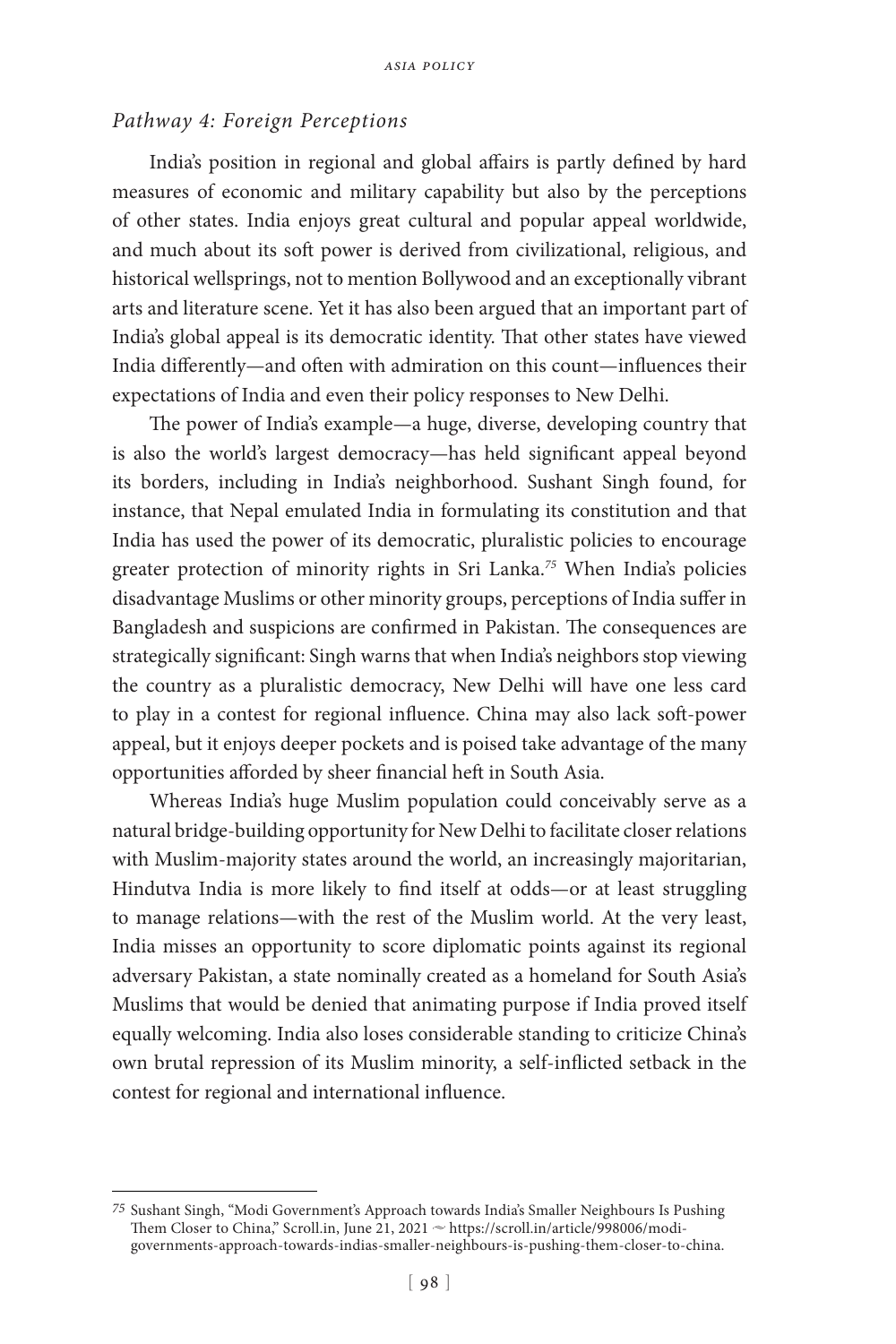## *Pathway 4: Foreign Perceptions*

India's position in regional and global affairs is partly defined by hard measures of economic and military capability but also by the perceptions of other states. India enjoys great cultural and popular appeal worldwide, and much about its soft power is derived from civilizational, religious, and historical wellsprings, not to mention Bollywood and an exceptionally vibrant arts and literature scene. Yet it has also been argued that an important part of India's global appeal is its democratic identity. That other states have viewed India differently—and often with admiration on this count—influences their expectations of India and even their policy responses to New Delhi.

The power of India's example—a huge, diverse, developing country that is also the world's largest democracy—has held significant appeal beyond its borders, including in India's neighborhood. Sushant Singh found, for instance, that Nepal emulated India in formulating its constitution and that India has used the power of its democratic, pluralistic policies to encourage greater protection of minority rights in Sri Lanka.*<sup>75</sup>* When India's policies disadvantage Muslims or other minority groups, perceptions of India suffer in Bangladesh and suspicions are confirmed in Pakistan. The consequences are strategically significant: Singh warns that when India's neighbors stop viewing the country as a pluralistic democracy, New Delhi will have one less card to play in a contest for regional influence. China may also lack soft-power appeal, but it enjoys deeper pockets and is poised take advantage of the many opportunities afforded by sheer financial heft in South Asia.

Whereas India's huge Muslim population could conceivably serve as a natural bridge-building opportunity for New Delhi to facilitate closer relations with Muslim-majority states around the world, an increasingly majoritarian, Hindutva India is more likely to find itself at odds—or at least struggling to manage relations—with the rest of the Muslim world. At the very least, India misses an opportunity to score diplomatic points against its regional adversary Pakistan, a state nominally created as a homeland for South Asia's Muslims that would be denied that animating purpose if India proved itself equally welcoming. India also loses considerable standing to criticize China's own brutal repression of its Muslim minority, a self-inflicted setback in the contest for regional and international influence.

*<sup>75</sup>* Sushant Singh, "Modi Government's Approach towards India's Smaller Neighbours Is Pushing Them Closer to China," Scroll.in, June 21, 2021  $\sim$  https://scroll.in/article/998006/modigovernments-approach-towards-indias-smaller-neighbours-is-pushing-them-closer-to-china.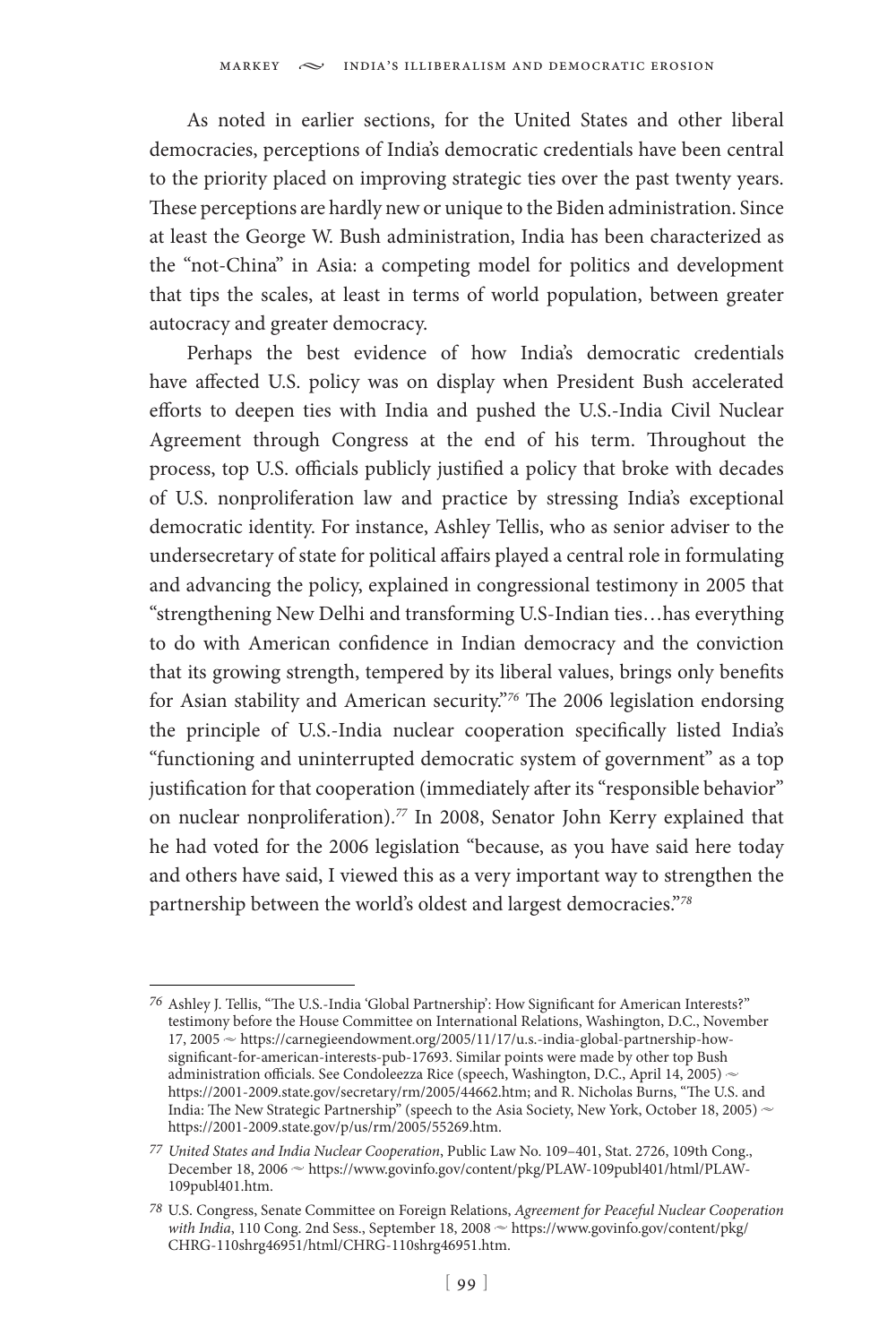As noted in earlier sections, for the United States and other liberal democracies, perceptions of India's democratic credentials have been central to the priority placed on improving strategic ties over the past twenty years. These perceptions are hardly new or unique to the Biden administration. Since at least the George W. Bush administration, India has been characterized as the "not-China" in Asia: a competing model for politics and development that tips the scales, at least in terms of world population, between greater autocracy and greater democracy.

Perhaps the best evidence of how India's democratic credentials have affected U.S. policy was on display when President Bush accelerated efforts to deepen ties with India and pushed the U.S.-India Civil Nuclear Agreement through Congress at the end of his term. Throughout the process, top U.S. officials publicly justified a policy that broke with decades of U.S. nonproliferation law and practice by stressing India's exceptional democratic identity. For instance, Ashley Tellis, who as senior adviser to the undersecretary of state for political affairs played a central role in formulating and advancing the policy, explained in congressional testimony in 2005 that "strengthening New Delhi and transforming U.S-Indian ties…has everything to do with American confidence in Indian democracy and the conviction that its growing strength, tempered by its liberal values, brings only benefits for Asian stability and American security."*<sup>76</sup>* The 2006 legislation endorsing the principle of U.S.-India nuclear cooperation specifically listed India's "functioning and uninterrupted democratic system of government" as a top justification for that cooperation (immediately after its "responsible behavior" on nuclear nonproliferation).*<sup>77</sup>* In 2008, Senator John Kerry explained that he had voted for the 2006 legislation "because, as you have said here today and others have said, I viewed this as a very important way to strengthen the partnership between the world's oldest and largest democracies."*<sup>78</sup>*

*<sup>76</sup>* Ashley J. Tellis, "The U.S.-India 'Global Partnership': How Significant for American Interests?" testimony before the House Committee on International Relations, Washington, D.C., November 17, 2005  $\sim$  https://carnegieendowment.org/2005/11/17/u.s.-india-global-partnership-howsignificant-for-american-interests-pub-17693. Similar points were made by other top Bush administration officials. See Condoleezza Rice (speech, Washington, D.C., April 14, 2005) ~ https://2001-2009.state.gov/secretary/rm/2005/44662.htm; and R. Nicholas Burns, "The U.S. and India: The New Strategic Partnership" (speech to the Asia Society, New York, October 18, 2005)  $\sim$ https://2001-2009.state.gov/p/us/rm/2005/55269.htm.

*<sup>77</sup> United States and India Nuclear Cooperation*, Public Law No. 109–401, Stat. 2726, 109th Cong., December 18, 2006  $\sim$  https://www.govinfo.gov/content/pkg/PLAW-109publ401/html/PLAW-109publ401.htm.

*<sup>78</sup>* U.S. Congress, Senate Committee on Foreign Relations, *Agreement for Peaceful Nuclear Cooperation*  with India, 110 Cong. 2nd Sess., September 18, 2008  $\sim$  https://www.govinfo.gov/content/pkg/ CHRG-110shrg46951/html/CHRG-110shrg46951.htm.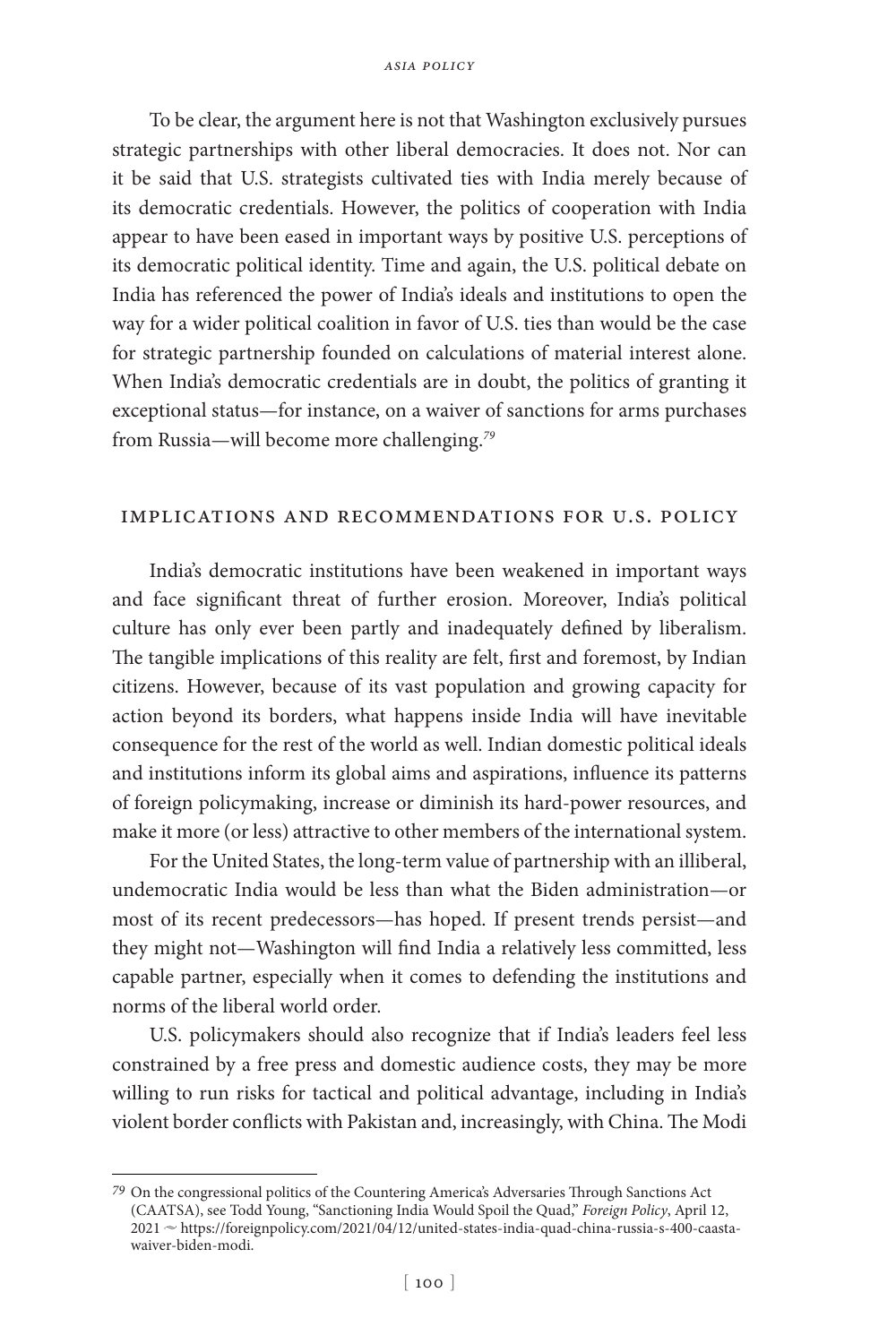To be clear, the argument here is not that Washington exclusively pursues strategic partnerships with other liberal democracies. It does not. Nor can it be said that U.S. strategists cultivated ties with India merely because of its democratic credentials. However, the politics of cooperation with India appear to have been eased in important ways by positive U.S. perceptions of its democratic political identity. Time and again, the U.S. political debate on India has referenced the power of India's ideals and institutions to open the way for a wider political coalition in favor of U.S. ties than would be the case for strategic partnership founded on calculations of material interest alone. When India's democratic credentials are in doubt, the politics of granting it exceptional status—for instance, on a waiver of sanctions for arms purchases from Russia—will become more challenging.*<sup>79</sup>*

## implications and recommendations for u.s. policy

India's democratic institutions have been weakened in important ways and face significant threat of further erosion. Moreover, India's political culture has only ever been partly and inadequately defined by liberalism. The tangible implications of this reality are felt, first and foremost, by Indian citizens. However, because of its vast population and growing capacity for action beyond its borders, what happens inside India will have inevitable consequence for the rest of the world as well. Indian domestic political ideals and institutions inform its global aims and aspirations, influence its patterns of foreign policymaking, increase or diminish its hard-power resources, and make it more (or less) attractive to other members of the international system.

For the United States, the long-term value of partnership with an illiberal, undemocratic India would be less than what the Biden administration—or most of its recent predecessors—has hoped. If present trends persist—and they might not—Washington will find India a relatively less committed, less capable partner, especially when it comes to defending the institutions and norms of the liberal world order.

U.S. policymakers should also recognize that if India's leaders feel less constrained by a free press and domestic audience costs, they may be more willing to run risks for tactical and political advantage, including in India's violent border conflicts with Pakistan and, increasingly, with China. The Modi

*<sup>79</sup>* On the congressional politics of the Countering America's Adversaries Through Sanctions Act (CAATSA), see Todd Young, "Sanctioning India Would Spoil the Quad," *Foreign Policy*, April 12, 2021 ~ https://foreignpolicy.com/2021/04/12/united-states-india-quad-china-russia-s-400-caastawaiver-biden-modi.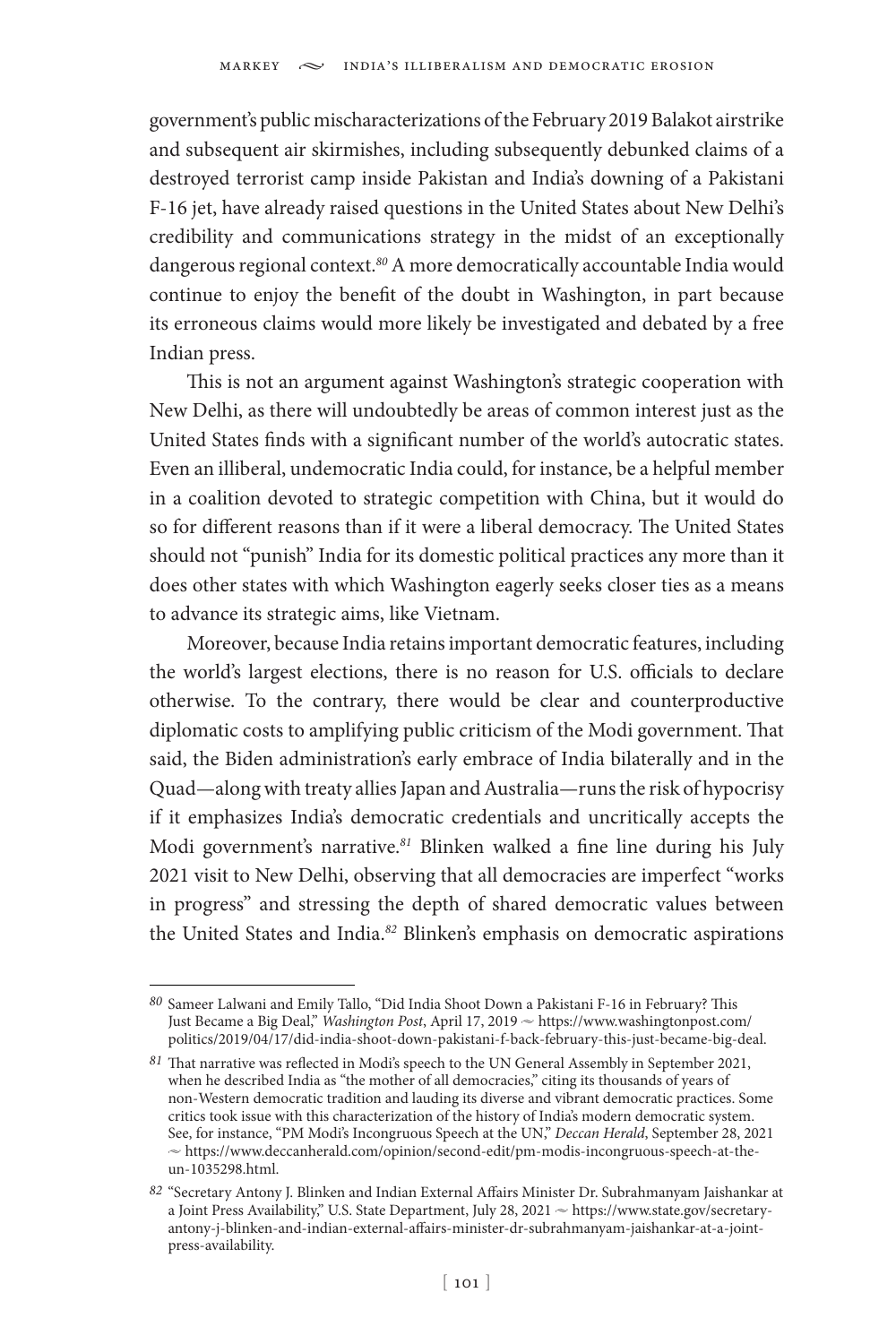government's public mischaracterizations of the February 2019 Balakot airstrike and subsequent air skirmishes, including subsequently debunked claims of a destroyed terrorist camp inside Pakistan and India's downing of a Pakistani F-16 jet, have already raised questions in the United States about New Delhi's credibility and communications strategy in the midst of an exceptionally dangerous regional context.*<sup>80</sup>* A more democratically accountable India would continue to enjoy the benefit of the doubt in Washington, in part because its erroneous claims would more likely be investigated and debated by a free Indian press.

This is not an argument against Washington's strategic cooperation with New Delhi, as there will undoubtedly be areas of common interest just as the United States finds with a significant number of the world's autocratic states. Even an illiberal, undemocratic India could, for instance, be a helpful member in a coalition devoted to strategic competition with China, but it would do so for different reasons than if it were a liberal democracy. The United States should not "punish" India for its domestic political practices any more than it does other states with which Washington eagerly seeks closer ties as a means to advance its strategic aims, like Vietnam.

Moreover, because India retains important democratic features, including the world's largest elections, there is no reason for U.S. officials to declare otherwise. To the contrary, there would be clear and counterproductive diplomatic costs to amplifying public criticism of the Modi government. That said, the Biden administration's early embrace of India bilaterally and in the Quad—along with treaty allies Japan and Australia—runs the risk of hypocrisy if it emphasizes India's democratic credentials and uncritically accepts the Modi government's narrative.*<sup>81</sup>* Blinken walked a fine line during his July 2021 visit to New Delhi, observing that all democracies are imperfect "works in progress" and stressing the depth of shared democratic values between the United States and India.*<sup>82</sup>* Blinken's emphasis on democratic aspirations

*<sup>80</sup>* Sameer Lalwani and Emily Tallo, "Did India Shoot Down a Pakistani F-16 in February? This Just Became a Big Deal," *Washington Post*, April 17, 2019  $\sim$  https://www.washingtonpost.com/ politics/2019/04/17/did-india-shoot-down-pakistani-f-back-february-this-just-became-big-deal.

*<sup>81</sup>* That narrative was reflected in Modi's speech to the UN General Assembly in September 2021, when he described India as "the mother of all democracies," citing its thousands of years of non-Western democratic tradition and lauding its diverse and vibrant democratic practices. Some critics took issue with this characterization of the history of India's modern democratic system. See, for instance, "PM Modi's Incongruous Speech at the UN," *Deccan Herald*, September 28, 2021  $\sim$  [https://www.deccanherald.com/opinion/second-edit/pm-modis-incongruous-speech-at-the](https://www.deccanherald.com/opinion/second-edit/pm-modis-incongruous-speech-at-the-un-1035298.html)[un-1035298.html.](https://www.deccanherald.com/opinion/second-edit/pm-modis-incongruous-speech-at-the-un-1035298.html)

*<sup>82</sup>* "Secretary Antony J. Blinken and Indian External Affairs Minister Dr. Subrahmanyam Jaishankar at a Joint Press Availability," U.S. State Department, July 28, 2021  $\sim$  https://www.state.gov/secretaryantony-j-blinken-and-indian-external-affairs-minister-dr-subrahmanyam-jaishankar-at-a-jointpress-availability.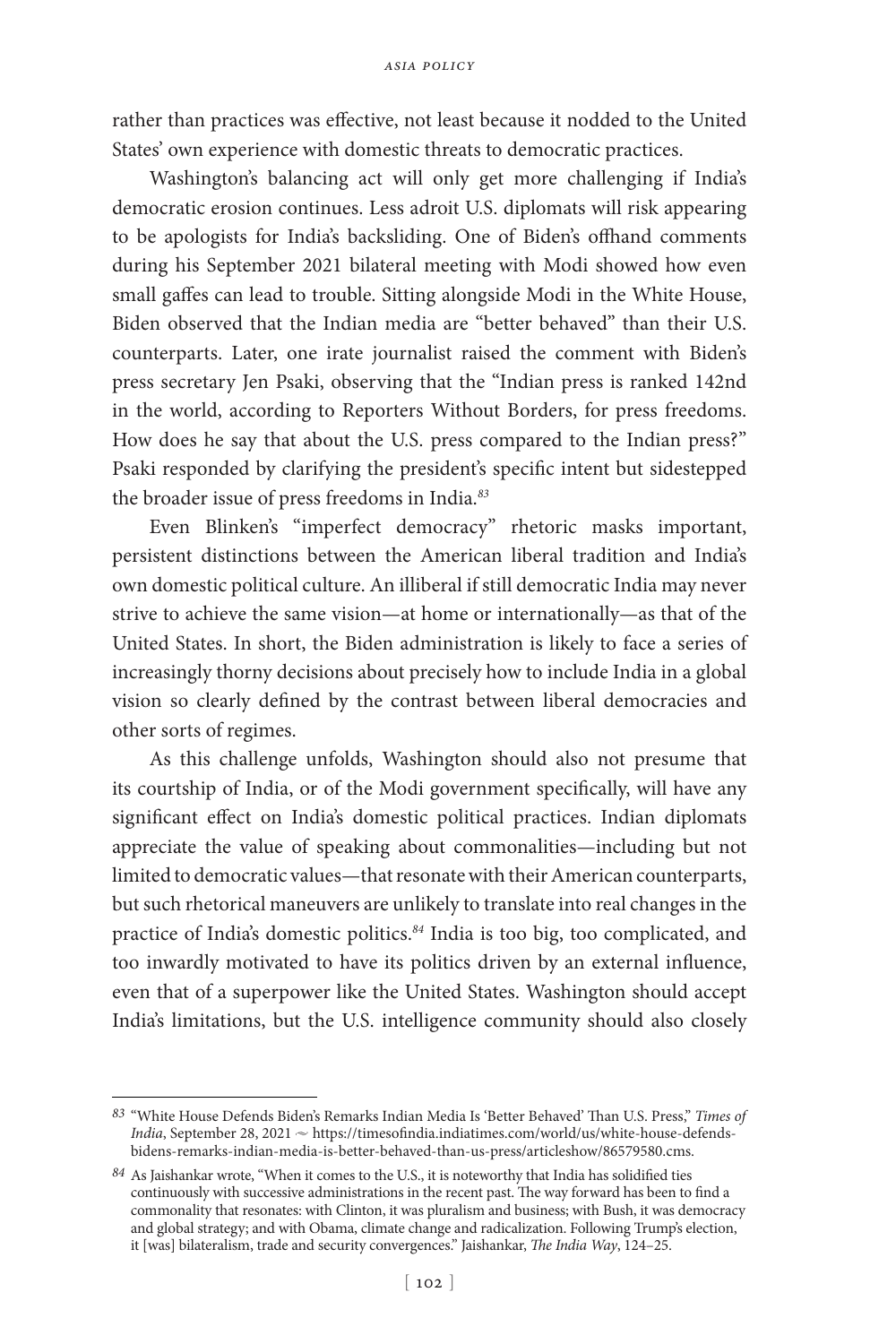rather than practices was effective, not least because it nodded to the United States' own experience with domestic threats to democratic practices.

Washington's balancing act will only get more challenging if India's democratic erosion continues. Less adroit U.S. diplomats will risk appearing to be apologists for India's backsliding. One of Biden's offhand comments during his September 2021 bilateral meeting with Modi showed how even small gaffes can lead to trouble. Sitting alongside Modi in the White House, Biden observed that the Indian media are "better behaved" than their U.S. counterparts. Later, one irate journalist raised the comment with Biden's press secretary Jen Psaki, observing that the "Indian press is ranked 142nd in the world, according to Reporters Without Borders, for press freedoms. How does he say that about the U.S. press compared to the Indian press?" Psaki responded by clarifying the president's specific intent but sidestepped the broader issue of press freedoms in India.*<sup>83</sup>*

Even Blinken's "imperfect democracy" rhetoric masks important, persistent distinctions between the American liberal tradition and India's own domestic political culture. An illiberal if still democratic India may never strive to achieve the same vision—at home or internationally—as that of the United States. In short, the Biden administration is likely to face a series of increasingly thorny decisions about precisely how to include India in a global vision so clearly defined by the contrast between liberal democracies and other sorts of regimes.

As this challenge unfolds, Washington should also not presume that its courtship of India, or of the Modi government specifically, will have any significant effect on India's domestic political practices. Indian diplomats appreciate the value of speaking about commonalities—including but not limited to democratic values—that resonate with their American counterparts, but such rhetorical maneuvers are unlikely to translate into real changes in the practice of India's domestic politics.*<sup>84</sup>* India is too big, too complicated, and too inwardly motivated to have its politics driven by an external influence, even that of a superpower like the United States. Washington should accept India's limitations, but the U.S. intelligence community should also closely

*<sup>83</sup>* "White House Defends Biden's Remarks Indian Media Is 'Better Behaved' Than U.S. Press," *Times of India*, September 28, 2021  $\sim$  https://timesofindia.indiatimes.com/world/us/white-house-defendsbidens-remarks-indian-media-is-better-behaved-than-us-press/articleshow/86579580.cms.

*<sup>84</sup>* As Jaishankar wrote, "When it comes to the U.S., it is noteworthy that India has solidified ties continuously with successive administrations in the recent past. The way forward has been to find a commonality that resonates: with Clinton, it was pluralism and business; with Bush, it was democracy and global strategy; and with Obama, climate change and radicalization. Following Trump's election, it [was] bilateralism, trade and security convergences." Jaishankar, *The India Way*, 124–25.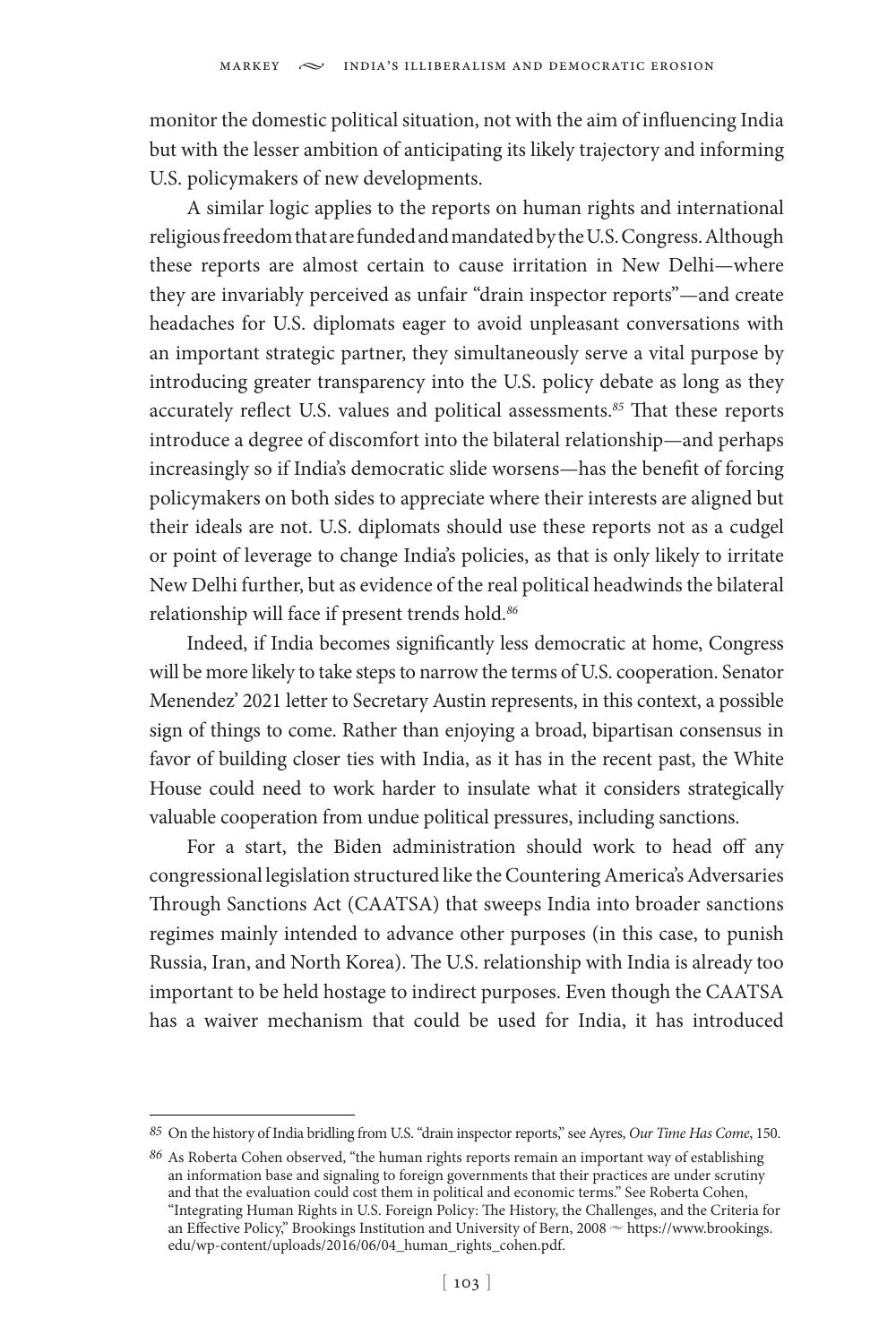monitor the domestic political situation, not with the aim of influencing India but with the lesser ambition of anticipating its likely trajectory and informing U.S. policymakers of new developments.

A similar logic applies to the reports on human rights and international religious freedom that are funded and mandated by the U.S. Congress. Although these reports are almost certain to cause irritation in New Delhi—where they are invariably perceived as unfair "drain inspector reports"—and create headaches for U.S. diplomats eager to avoid unpleasant conversations with an important strategic partner, they simultaneously serve a vital purpose by introducing greater transparency into the U.S. policy debate as long as they accurately reflect U.S. values and political assessments.*<sup>85</sup>* That these reports introduce a degree of discomfort into the bilateral relationship—and perhaps increasingly so if India's democratic slide worsens—has the benefit of forcing policymakers on both sides to appreciate where their interests are aligned but their ideals are not. U.S. diplomats should use these reports not as a cudgel or point of leverage to change India's policies, as that is only likely to irritate New Delhi further, but as evidence of the real political headwinds the bilateral relationship will face if present trends hold.*<sup>86</sup>*

Indeed, if India becomes significantly less democratic at home, Congress will be more likely to take steps to narrow the terms of U.S. cooperation. Senator Menendez' 2021 letter to Secretary Austin represents, in this context, a possible sign of things to come. Rather than enjoying a broad, bipartisan consensus in favor of building closer ties with India, as it has in the recent past, the White House could need to work harder to insulate what it considers strategically valuable cooperation from undue political pressures, including sanctions.

For a start, the Biden administration should work to head off any congressional legislation structured like the Countering America's Adversaries Through Sanctions Act (CAATSA) that sweeps India into broader sanctions regimes mainly intended to advance other purposes (in this case, to punish Russia, Iran, and North Korea). The U.S. relationship with India is already too important to be held hostage to indirect purposes. Even though the CAATSA has a waiver mechanism that could be used for India, it has introduced

*<sup>85</sup>* On the history of India bridling from U.S. "drain inspector reports," see Ayres, *Our Time Has Come*, 150.

*<sup>86</sup>* As Roberta Cohen observed, "the human rights reports remain an important way of establishing an information base and signaling to foreign governments that their practices are under scrutiny and that the evaluation could cost them in political and economic terms." See Roberta Cohen, "Integrating Human Rights in U.S. Foreign Policy: The History, the Challenges, and the Criteria for an Effective Policy," Brookings Institution and University of Bern, 2008  $\sim$  https://www.brookings. edu/wp-content/uploads/2016/06/04\_human\_rights\_cohen.pdf.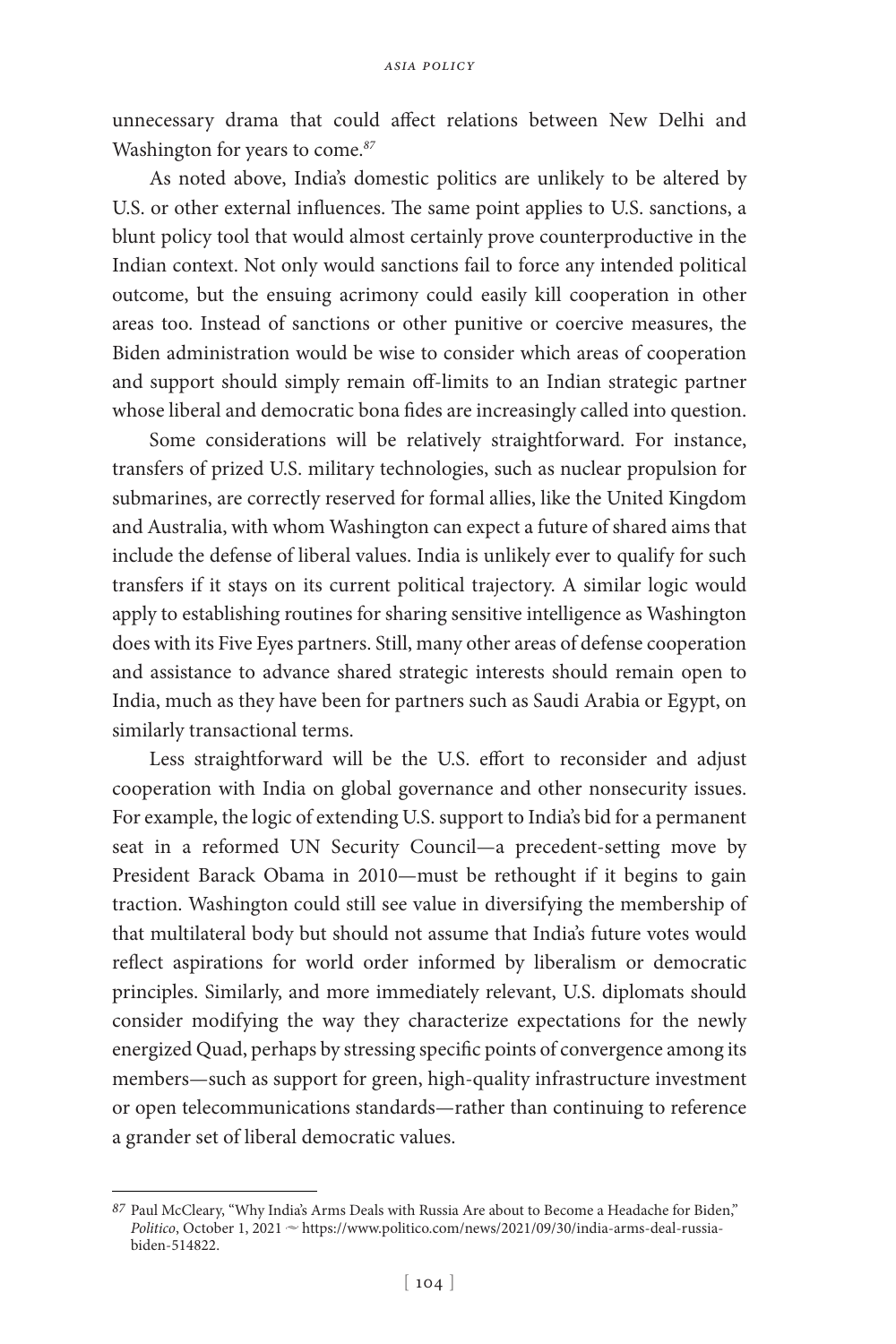unnecessary drama that could affect relations between New Delhi and Washington for years to come.*<sup>87</sup>*

As noted above, India's domestic politics are unlikely to be altered by U.S. or other external influences. The same point applies to U.S. sanctions, a blunt policy tool that would almost certainly prove counterproductive in the Indian context. Not only would sanctions fail to force any intended political outcome, but the ensuing acrimony could easily kill cooperation in other areas too. Instead of sanctions or other punitive or coercive measures, the Biden administration would be wise to consider which areas of cooperation and support should simply remain off-limits to an Indian strategic partner whose liberal and democratic bona fides are increasingly called into question.

Some considerations will be relatively straightforward. For instance, transfers of prized U.S. military technologies, such as nuclear propulsion for submarines, are correctly reserved for formal allies, like the United Kingdom and Australia, with whom Washington can expect a future of shared aims that include the defense of liberal values. India is unlikely ever to qualify for such transfers if it stays on its current political trajectory. A similar logic would apply to establishing routines for sharing sensitive intelligence as Washington does with its Five Eyes partners. Still, many other areas of defense cooperation and assistance to advance shared strategic interests should remain open to India, much as they have been for partners such as Saudi Arabia or Egypt, on similarly transactional terms.

Less straightforward will be the U.S. effort to reconsider and adjust cooperation with India on global governance and other nonsecurity issues. For example, the logic of extending U.S. support to India's bid for a permanent seat in a reformed UN Security Council—a precedent-setting move by President Barack Obama in 2010—must be rethought if it begins to gain traction. Washington could still see value in diversifying the membership of that multilateral body but should not assume that India's future votes would reflect aspirations for world order informed by liberalism or democratic principles. Similarly, and more immediately relevant, U.S. diplomats should consider modifying the way they characterize expectations for the newly energized Quad, perhaps by stressing specific points of convergence among its members—such as support for green, high-quality infrastructure investment or open telecommunications standards—rather than continuing to reference a grander set of liberal democratic values.

*<sup>87</sup>* Paul McCleary, "Why India's Arms Deals with Russia Are about to Become a Headache for Biden," *Politico*, October 1, 2021 ~ https://www.politico.com/news/2021/09/30/india-arms-deal-russiabiden-514822.